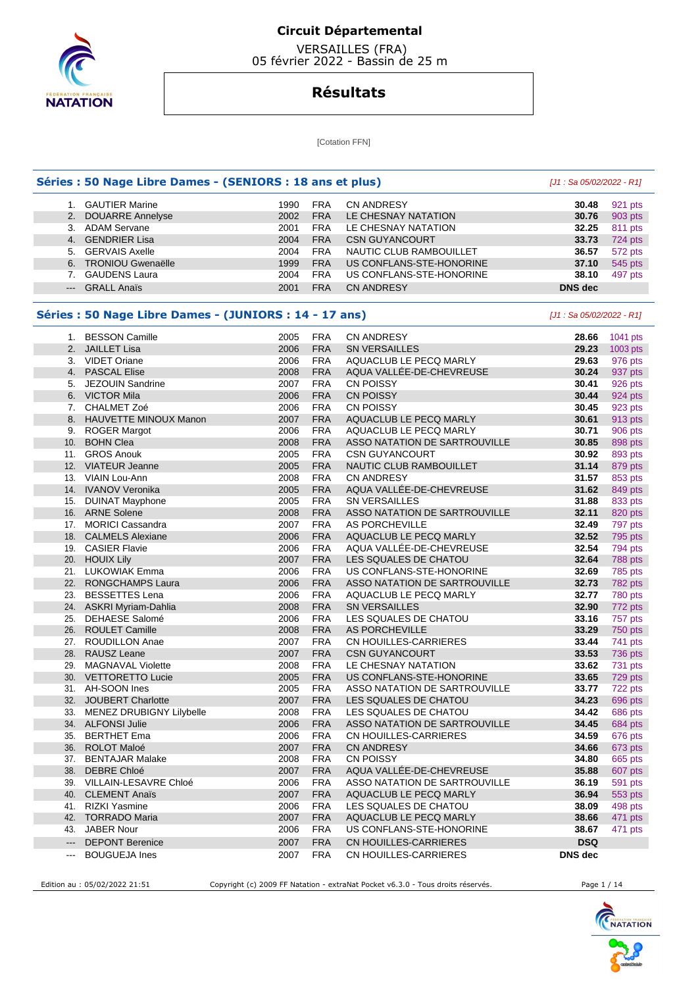

 VERSAILLES (FRA) 05 février 2022 - Bassin de 25 m

# **Résultats**

**[Cotation FFN]** 

#### **Séries : 50 Nage Libre Dames - (SENIORS : 18 ans et plus)** [J1 : Sa 05/02/2022 - R1]

|                     | 1. GAUTIER Marine    | 1990 | <b>FRA</b> | <b>CN ANDRESY</b>        | 30.48          | 921 pts |
|---------------------|----------------------|------|------------|--------------------------|----------------|---------|
|                     | 2. DOUARRE Annelyse  | 2002 | <b>FRA</b> | LE CHESNAY NATATION      | 30.76          | 903 pts |
|                     | 3. ADAM Servane      | 2001 | <b>FRA</b> | LE CHESNAY NATATION      | 32.25          | 811 pts |
|                     | 4. GENDRIER Lisa     | 2004 | <b>FRA</b> | <b>CSN GUYANCOURT</b>    | 33.73          | 724 pts |
|                     | 5. GERVAIS Axelle    | 2004 | <b>FRA</b> | NAUTIC CLUB RAMBOUILLET  | 36.57          | 572 pts |
|                     | 6. TRONIOU Gwenaëlle | 1999 | <b>FRA</b> | US CONFLANS-STE-HONORINE | 37.10          | 545 pts |
|                     | <b>GAUDENS Laura</b> | 2004 | <b>FRA</b> | US CONFLANS-STE-HONORINE | 38.10          | 497 pts |
| $\qquad \qquad - -$ | <b>GRALL Anaïs</b>   | 2001 | <b>FRA</b> | <b>CN ANDRESY</b>        | <b>DNS</b> dec |         |
|                     |                      |      |            |                          |                |         |

#### **Séries : 50 Nage Libre Dames - (JUNIORS : 14 - 17 ans)** [J1 : Sa 05/02/2022 - R1]

 1. BESSON Camille 2005 FRA CN ANDRESY **28.66** 1041 pts 2. JAILLET Lisa 2006 FRA SN VERSAILLES **29.23** 1003 pts 3. VIDET Oriane 2006 FRA AQUACLUB LE PECQ MARLY **29.63** 976 pts 4. PASCAL Elise 2008 FRA AQUA VALLÉE-DE-CHEVREUSE **30.24** 937 pts 5. JEZOUIN Sandrine 2007 FRA CN POISSY **30.41** 926 pts 6. VICTOR Mila 2006 FRA CN POISSY **30.44** 924 pts 7. CHALMET Zoé 2006 FRA CN POISSY **30.45** 923 pts 8. HAUVETTE MINOUX Manon 2007 FRA AQUACLUB LE PECQ MARLY **30.61** 913 pts 9. ROGER Margot 2006 FRA AQUACLUB LE PECQ MARLY **30.71** 906 pts 10. BOHN Clea 2008 FRA ASSO NATATION DE SARTROUVILLE **30.85** 898 pts 11. GROS Anouk 2005 FRA CSN GUYANCOURT **30.92** 893 pts 12. VIATEUR Jeanne 2005 FRA NAUTIC CLUB RAMBOUILLET **31.14** 879 pts 13. VIAIN Lou-Ann 2008 FRA CN ANDRESY **31.57** 853 pts 14. IVANOV Veronika 2005 FRA AQUA VALLÉE-DE-CHEVREUSE **31.62** 849 pts 15. DUINAT Mayphone 2005 FRA SN VERSAILLES **31.88** 833 pts 16. ARNE Solene 2008 FRA ASSO NATATION DE SARTROUVILLE **32.11** 820 pts 17. MORICI Cassandra 2007 FRA AS PORCHEVILLE **32.49** 797 pts 18. CALMELS Alexiane 2006 FRA AQUACLUB LE PECQ MARLY **32.52** 795 pts 19. CASIER Flavie 2006 FRA AQUA VALLÉE-DE-CHEVREUSE **32.54** 794 pts 20. HOUIX Lily 2007 FRA LES SQUALES DE CHATOU **32.64** 788 pts 21. LUKOWIAK Emma 2006 FRA US CONFLANS-STE-HONORINE **32.69** 785 pts 22. RONGCHAMPS Laura 2006 FRA ASSO NATATION DE SARTROUVILLE 23. BESSETTES Lena 2006 FRA AQUACLUB LE PECQ MARLY **32.77** 780 pts 24. ASKRI Myriam-Dahlia 2008 FRA SN VERSAILLES **32.90** 772 pts 25. DEHAESE Salomé 2006 FRA LES SQUALES DE CHATOU **33.16** 757 pts 26. ROULET Camille 2008 FRA AS PORCHEVILLE **33.29** 750 pts 27. ROUDILLON Anae 2007 FRA CN HOUILLES-CARRIERES **33.44** 741 pts 28. RAUSZ Leane 2007 FRA CSN GUYANCOURT **33.53** 736 pts 29. MAGNAVAL Violette 2008 FRA LE CHESNAY NATATION **33.62** 731 pts 30. VETTORETTO Lucie 2005 FRA US CONFLANS-STE-HONORINE **33.65** 729 pts 31. AH-SOON Ines 2005 FRA ASSO NATATION DE SARTROUVILLE **33.77** 722 pts 32. JOUBERT Charlotte 2007 FRA LES SQUALES DE CHATOU **34.23** 696 pts 33. MENEZ DRUBIGNY Lilybelle 2008 FRA LES SQUALES DE CHATOU **34.42** 686 pts 34. ALFONSI Julie 2006 FRA ASSO NATATION DE SARTROUVILLE **34.45** 684 pts 35. BERTHET Ema 2006 FRA CN HOUILLES-CARRIERES **34.59** 676 pts 36. ROLOT Maloé 2007 FRA CN ANDRESY **34.66** 673 pts 37. BENTAJAR Malake 2008 FRA CN POISSY **34.80** 665 pts 38. DEBRE Chloé 2007 FRA AQUA VALLÉE-DE-CHEVREUSE **35.88** 607 pts 39. VILLAIN-LESAVRE Chloé 2006 FRA ASSO NATATION DE SARTROUVILLE **36.19** 591 pts 40. CLEMENT Anaïs 2007 FRA AQUACLUB LE PECQ MARLY **36.94** 553 pts 41. RIZKI Yasmine 2006 FRA LES SQUALES DE CHATOU **38.09** 498 pts 42. TORRADO Maria 2007 FRA AQUACLUB LE PECQ MARLY **38.66** 471 pts 43. JABER Nour 2006 FRA US CONFLANS-STE-HONORINE **38.67** 471 pts --- DEPONT Berenice 2007 FRA CN HOUILLES-CARRIERES **DSQ**  --- BOUGUEJA Ines 2007 FRA CN HOUILLES-CARRIERES **DNS dec** 

Edition au : 05/02/2022 21:51 Copyright (c) 2009 FF Natation - extraNat Pocket v6.3.0 - Tous droits réservés. Page 1 / 14

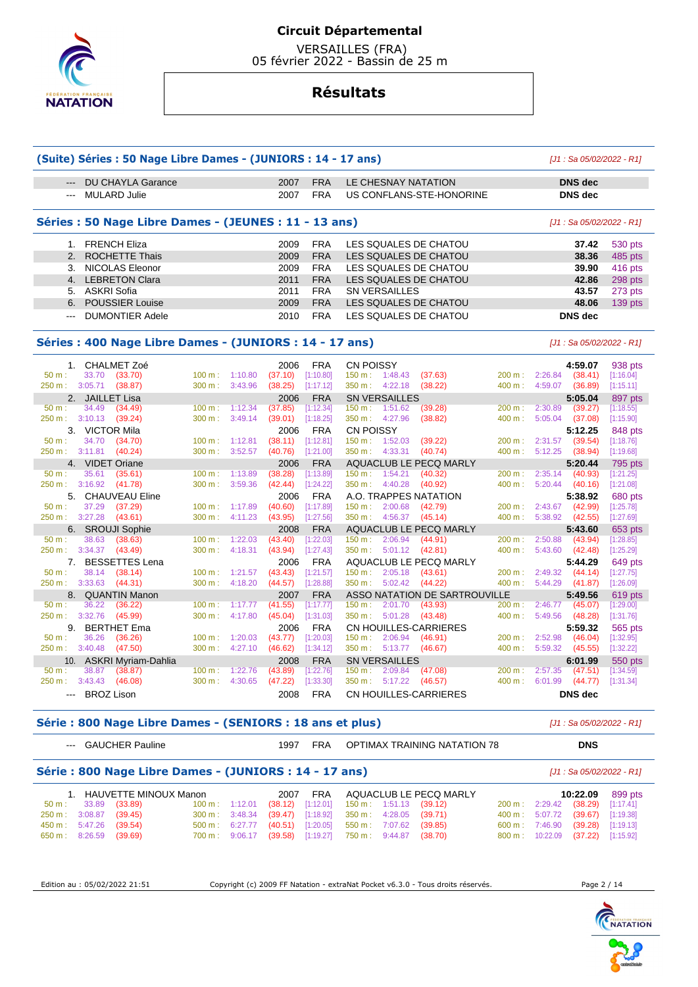

 VERSAILLES (FRA) 05 février 2022 - Bassin de 25 m

# **Résultats**

| (Suite) Séries : 50 Nage Libre Dames - (JUNIORS : 14 - 17 ans)<br>[J1 : Sa 05/02/2022 - R1] |                                                       |        |         |         |            |                                         |        |                           |           |  |  |
|---------------------------------------------------------------------------------------------|-------------------------------------------------------|--------|---------|---------|------------|-----------------------------------------|--------|---------------------------|-----------|--|--|
| $---$                                                                                       | <b>DU CHAYLA Garance</b>                              |        |         | 2007    | <b>FRA</b> | LE CHESNAY NATATION                     |        | <b>DNS</b> dec            |           |  |  |
| $- - -$                                                                                     | <b>MULARD Julie</b>                                   |        |         | 2007    | <b>FRA</b> | US CONFLANS-STE-HONORINE                |        | <b>DNS</b> dec            |           |  |  |
|                                                                                             |                                                       |        |         |         |            |                                         |        |                           |           |  |  |
|                                                                                             | Séries : 50 Nage Libre Dames - (JEUNES : 11 - 13 ans) |        |         |         |            |                                         |        | [J1 : Sa 05/02/2022 - R1] |           |  |  |
|                                                                                             | 1. FRENCH Eliza                                       |        |         | 2009    | <b>FRA</b> | LES SQUALES DE CHATOU                   |        | 37.42                     | 530 pts   |  |  |
| 2.                                                                                          | <b>ROCHETTE Thais</b>                                 |        |         | 2009    | <b>FRA</b> | LES SQUALES DE CHATOU                   |        | 38.36                     | 485 pts   |  |  |
| 3.                                                                                          | NICOLAS Eleonor                                       |        |         | 2009    | <b>FRA</b> | LES SQUALES DE CHATOU                   |        | 39.90                     | 416 pts   |  |  |
| 4.                                                                                          | <b>LEBRETON Clara</b>                                 |        |         | 2011    | <b>FRA</b> | LES SQUALES DE CHATOU                   |        | 42.86                     | 298 pts   |  |  |
| 5.                                                                                          | <b>ASKRI Sofia</b>                                    |        |         | 2011    | <b>FRA</b> | <b>SN VERSAILLES</b>                    |        | 43.57                     | 273 pts   |  |  |
| 6.                                                                                          | <b>POUSSIER Louise</b>                                |        |         | 2009    | <b>FRA</b> | LES SQUALES DE CHATOU                   |        | 48.06                     | $139$ pts |  |  |
| $- - -$                                                                                     | <b>DUMONTIER Adele</b>                                |        |         | 2010    | <b>FRA</b> | LES SQUALES DE CHATOU                   |        | <b>DNS</b> dec            |           |  |  |
|                                                                                             |                                                       |        |         |         |            |                                         |        |                           |           |  |  |
| Séries : 400 Nage Libre Dames - (JUNIORS : 14 - 17 ans)<br>[J1: Sa 05/02/2022 - R1]         |                                                       |        |         |         |            |                                         |        |                           |           |  |  |
| 1.                                                                                          | <b>CHALMET Zoé</b>                                    |        |         | 2006    | <b>FRA</b> | <b>CN POISSY</b>                        |        | 4:59.07                   | 938 pts   |  |  |
| 50 m:                                                                                       | 33.70<br>(33.70)                                      | 100 m: | 1:10.80 | (37.10) | [1:10.80]  | 150 m: 1:48.43<br>(37.63)               | 200 m: | 2:26.84<br>(38.41)        | [1:16.04] |  |  |
| 250 m :                                                                                     | 3:05.71<br>(38.87)                                    | 300 m: | 3:43.96 | (38.25) | [1:17.12]  | 350 m: 4:22.18<br>(38.22)               | 400 m: | 4:59.07<br>(36.89)        | [1:15.11] |  |  |
| 2.                                                                                          | <b>JAILLET Lisa</b>                                   |        |         | 2006    | <b>FRA</b> | <b>SN VERSAILLES</b>                    |        | 5:05.04                   | 897 pts   |  |  |
| $50 m$ :                                                                                    | 34.49<br>(34.49)                                      | 100 m: | 1:12.34 | (37.85) | [1:12.34]  | 150 m: 1:51.62<br>(39.28)               | 200 m: | 2:30.89<br>(39.27)        | [1:18.55] |  |  |
| 250 m:                                                                                      | 3:10.13<br>(39.24)                                    | 300 m: | 3:49.14 | (39.01) | [1:18.25]  | 4:27.96<br>(38.82)<br>350 m:            | 400 m: | 5:05.04<br>(37.08)        | [1:15.90] |  |  |
| 3.                                                                                          | VICTOR Mila                                           |        |         | 2006    | <b>FRA</b> | <b>CN POISSY</b>                        |        | 5:12.25                   | 848 pts   |  |  |
| $50 m$ :                                                                                    | 34.70<br>(34.70)                                      | 100 m: | 1:12.81 | (38.11) | [1:12.81]  | 1:52.03<br>150 m:<br>(39.22)            | 200 m: | 2:31.57<br>(39.54)        | [1:18.76] |  |  |
| 250 m: 3:11.81                                                                              | (40.24)                                               | 300 m: | 3:52.57 | (40.76) | [1:21.00]  | 4:33.31<br>(40.74)<br>350 m :           | 400 m: | 5:12.25<br>(38.94)        | [1:19.68] |  |  |
| 4.                                                                                          | <b>VIDET Oriane</b>                                   |        |         | 2006    | <b>FRA</b> | AQUACLUB LE PECQ MARLY                  |        | 5:20.44                   | 795 pts   |  |  |
| 50 m:                                                                                       | 35.61<br>(35.61)                                      | 100 m: | 1:13.89 | (38.28) | [1:13.89]  | $150 \text{ m}$ :<br>1:54.21<br>(40.32) | 200 m: | 2:35.14<br>(40.93)        | [1:21.25] |  |  |
| 250 m :                                                                                     | 3:16.92<br>(41.78)                                    | 300 m: | 3:59.36 | (42.44) | [1:24.22]  | 4:40.28<br>(40.92)<br>350 m :           | 400 m: | 5:20.44<br>(40.16)        | [1:21.08] |  |  |
| 5.                                                                                          | <b>CHAUVEAU Eline</b>                                 |        |         | 2006    | <b>FRA</b> | A.O. TRAPPES NATATION                   |        | 5:38.92                   | 680 pts   |  |  |
| $50 m$ :                                                                                    | 37.29<br>(37.29)                                      | 100 m: | 1:17.89 | (40.60) | [1:17.89]  | 2:00.68<br>150 m : l<br>(42.79)         | 200 m: | 2:43.67<br>(42.99)        | [1:25.78] |  |  |
| 250 m:                                                                                      | 3:27.28<br>(43.61)                                    | 300 m: | 4:11.23 | (43.95) | [1:27.56]  | 350 m:<br>4:56.37<br>(45.14)            | 400 m: | 5:38.92<br>(42.55)        | [1:27.69] |  |  |
|                                                                                             | 6. SROUJI Sophie                                      |        |         | 2008    | <b>FRA</b> | AQUACLUB LE PECQ MARLY                  |        | 5:43.60                   | 653 pts   |  |  |
| $50 m$ :                                                                                    | 38.63<br>(38.63)                                      | 100 m: | 1:22.03 | (43.40) | [1:22.03]  | 2:06.94<br>$150 \text{ m}$ :<br>(44.91) | 200 m: | 2:50.88<br>(43.94)        | [1:28.85] |  |  |
| 250 m:                                                                                      | 3:34.37<br>(43.49)                                    | 300 m: | 4:18.31 | (43.94) | [1:27.43]  | 350 m: 5:01.12<br>(42.81)               | 400 m: | 5:43.60<br>(42.48)        | [1:25.29] |  |  |
| 7.                                                                                          | <b>BESSETTES Lena</b>                                 |        |         | 2006    | <b>FRA</b> | AQUACLUB LE PECQ MARLY                  |        | 5:44.29                   | 649 pts   |  |  |
| $50 m$ :                                                                                    | 38.14<br>(38.14)                                      | 100 m: | 1:21.57 | (43.43) | [1:21.57]  | 150 m: 2:05.18<br>(43.61)               | 200 m: | 2:49.32<br>(44.14)        | [1:27.75] |  |  |
| 250 m :                                                                                     | 3:33.63<br>(44.31)                                    | 300 m: | 4:18.20 | (44.57) | [1:28.88]  | 5:02.42<br>350 m:<br>(44.22)            | 400 m: | 5:44.29<br>(41.87)        | [1:26.09] |  |  |
| 8.                                                                                          | <b>QUANTIN Manon</b>                                  |        |         | 2007    | <b>FRA</b> | ASSO NATATION DE SARTROUVILLE           |        | 5:49.56                   | 619 pts   |  |  |
| $50 m$ :                                                                                    | 36.22<br>(36.22)                                      | 100 m: | 1:17.77 | (41.55) | [1:17.77]  | 150 m:<br>2:01.70<br>(43.93)            | 200 m: | 2:46.77<br>(45.07)        | [1:29.00] |  |  |
| 250 m :                                                                                     | 3:32.76<br>(45.99)                                    | 300 m: | 4:17.80 | (45.04) | [1:31.03]  | 350 m :<br>5:01.28<br>(43.48)           | 400 m: | 5:49.56<br>(48.28)        | [1:31.76] |  |  |
| 9.                                                                                          | <b>BERTHET Ema</b>                                    |        |         | 2006    | <b>FRA</b> | <b>CN HOUILLES-CARRIERES</b>            |        | 5:59.32                   | 565 pts   |  |  |
| 50 m:                                                                                       | 36.26<br>(36.26)                                      | 100 m: | 1:20.03 | (43.77) | [1:20.03]  | 2:06.94<br>(46.91)<br>150 m :           | 200 m: | 2:52.98<br>(46.04)        | [1:32.95] |  |  |
| 250 m :                                                                                     | 3:40.48<br>(47.50)                                    | 300 m: | 4:27.10 | (46.62) | [1:34.12]  | 350 m:<br>5:13.77<br>(46.67)            | 400 m: | 5:59.32<br>(45.55)        | [1:32.22] |  |  |
| 10.                                                                                         | <b>ASKRI Myriam-Dahlia</b>                            |        |         | 2008    | <b>FRA</b> | <b>SN VERSAILLES</b>                    |        | 6:01.99                   | 550 pts   |  |  |
| $50 m$ :                                                                                    | 38.87<br>(38.87)                                      | 100 m: | 1:22.76 | (43.89) | [1:22.76]  | 2:09.84<br>(47.08)<br>150 m:            | 200 m: | 2:57.35<br>(47.51)        | [1:34.59] |  |  |
| 250 m:                                                                                      | 3:43.43<br>(46.08)                                    | 300 m: | 4:30.65 | (47.22) | [1:33.30]  | 350 m :<br>5:17.22<br>(46.57)           | 400 m: | 6:01.99<br>(44.77)        | [1:31.34] |  |  |
|                                                                                             | --- BROZ Lison                                        |        |         | 2008    | <b>FRA</b> | <b>CN HOUILLES-CARRIERES</b>            |        | <b>DNS</b> dec            |           |  |  |

#### **Série : 800 Nage Libre Dames - (SENIORS : 18 ans et plus)** [J1 : Sa 05/02/2022 - R1]

--- GAUCHER Pauline 1997 FRA OPTIMAX TRAINING NATATION 78 **DNS** 

|                         |                                                                                     |                          |  |  | . |                                                                     |  |  |                                 |  |                                  |  |                  |
|-------------------------|-------------------------------------------------------------------------------------|--------------------------|--|--|---|---------------------------------------------------------------------|--|--|---------------------------------|--|----------------------------------|--|------------------|
|                         | Série : 800 Nage Libre Dames - (JUNIORS : 14 - 17 ans)<br>[J1 : Sa 05/02/2022 - R1] |                          |  |  |   |                                                                     |  |  |                                 |  |                                  |  |                  |
|                         |                                                                                     | 1. HAUVETTE MINOUX Manon |  |  |   |                                                                     |  |  | 2007 FRA AQUACLUB LE PECQ MARLY |  |                                  |  | 10:22.09 899 pts |
|                         | 50 m : 33.89 (33.89)                                                                |                          |  |  |   | $100 \text{ m}$ : 1:12.01 (38.12) [1:12.01] 150 m : 1:51.13 (39.12) |  |  |                                 |  | 200 m: 2:29.42 (38.29) [1:17.41] |  |                  |
| 250 m : 3:08.87 (39.45) |                                                                                     |                          |  |  |   | 300 m : 3:48.34 (39.47) [1:18.92] 350 m : 4:28.05 (39.71)           |  |  |                                 |  | 400 m: 5:07.72 (39.67) [1:19.38] |  |                  |

450 m : 5:47.26 (39.54) 500 m : 6:27.77 (40.51) [1:20.05] 550 m : 7:07.62 (39.85) 600 m : 7:46.90 (39.28) [1:19.13] 650 m : 8:26.59 (39.69) 700 m : 9:06.17 (39.58) [1:19.27] 750 m : 9:44.87 (38.70) 800 m : 10:22.09 (37.22) [1:15.92]

Edition au : 05/02/2022 21:51 Copyright (c) 2009 FF Natation - extraNat Pocket v6.3.0 - Tous droits réservés. Page 2 / 14

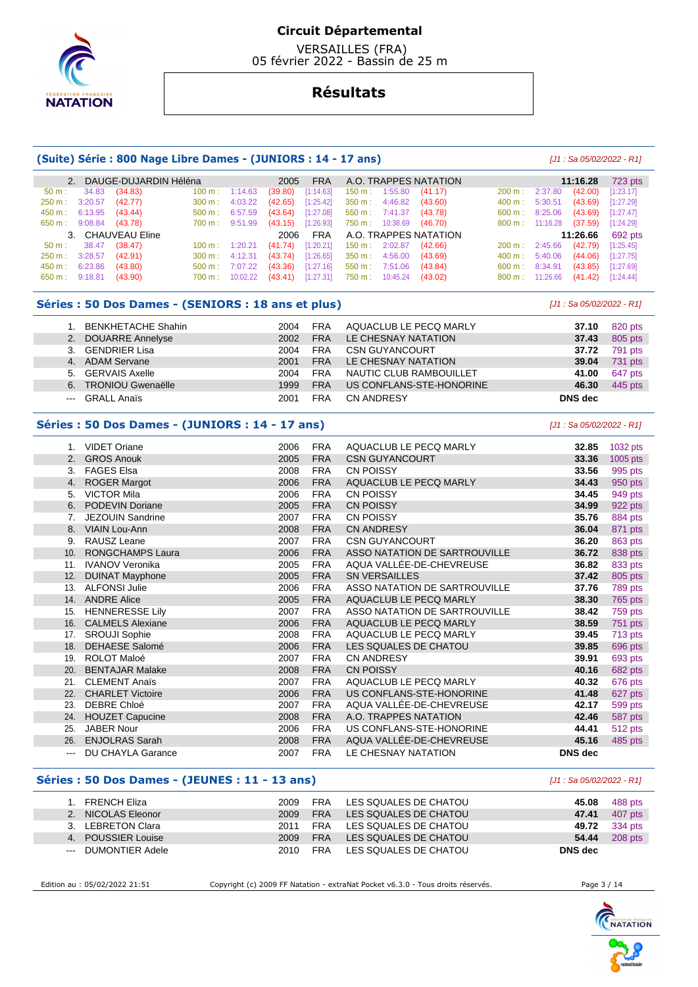

 VERSAILLES (FRA) 05 février 2022 - Bassin de 25 m

# **Résultats**

#### **(Suite) Série : 800 Nage Libre Dames - (JUNIORS : 14 - 17 ans)** [J1 : Sa 05/02/2022 - R1]

|       |                         | 2. DAUGE-DUJARDIN Héléna | 2005                                                       |         |                                             |                          | FRA A.O. TRAPPES NATATION      |                   |                                  | 11:16.28 | 723 pts          |
|-------|-------------------------|--------------------------|------------------------------------------------------------|---------|---------------------------------------------|--------------------------|--------------------------------|-------------------|----------------------------------|----------|------------------|
| 50 m: |                         | 34.83 (34.83)            | $100 \text{ m}: 1:14.63$                                   | (39.80) | $[1:14.63]$ 150 m : 1:55.80 (41.17)         |                          |                                | $200 \text{ m}$ : | 2:37.80                          | (42.00)  | [1:23.17]        |
|       | 250 m : 3:20.57 (42.77) |                          | 300 m : 4:03.22 (42.65) [1:25.42]                          |         | 350 m : 4:46.82                             |                          | (43.60)                        | $400 \text{ m}$ : | 5:30.51 (43.69)                  |          | [1:27.29]        |
|       | 450 m : 6:13.95 (43.44) |                          | $500 \text{ m}: 6:57.59$                                   |         | $(43.64)$ [1:27.08] 550 m : 7:41.37 (43.78) |                          |                                |                   | $600 \text{ m}: 8:25.06$ (43.69) |          | [1:27.47]        |
|       | 650 m : 9:08.84 (43.78) |                          | 700 m : 9:51.99 (43.15) [1:26.93]                          |         |                                             | 750 m : 10:38.69 (46.70) |                                |                   | 800 m: 11:16.28 (37.59)          |          | [1:24.29]        |
|       |                         | 3. CHAUVEAU Eline        |                                                            |         |                                             |                          | 2006 FRA A.O. TRAPPES NATATION |                   |                                  |          | 11:26.66 692 pts |
|       | 50 m : 38.47 (38.47)    |                          | 100 m: 1:20.21 (41.74) [1:20.21] 150 m: 2:02.87 (42.66)    |         |                                             |                          |                                |                   | 200 m: 2:45.66 (42.79)           |          | [1:25.45]        |
|       | 250 m : 3:28.57 (42.91) |                          | $300 \text{ m}:$ 4:12.31 (43.74) [1:26.65] 350 m : 4:56.00 |         |                                             |                          | (43.69)                        |                   | 400 m : 5:40.06 (44.06)          |          | [1:27.75]        |
|       | 450 m : 6:23.86         | (43.80)                  | 500 m : 7:07.22 (43.36) [1:27.16]                          |         |                                             | 550 m : 7:51.06          | (43.84)                        |                   | $600 \text{ m}$ : 8:34.91        | (43.85)  | [1:27.69]        |
|       | 650 m : 9:18.81 (43.90) |                          | 700 m: 10:02.22 (43.41) [1:27.31] 750 m: 10:45.24 (43.02)  |         |                                             |                          |                                |                   | 800 m: 11:26.66 (41.42)          |          | [1:24.44]        |

### **Séries : 50 Dos Dames - (SENIORS : 18 ans et plus)**  $[J1: Sa 05/02/2022 - R1]$

|         | <b>BENKHETACHE Shahin</b> | 2004 | <b>FRA</b> | AQUACLUB LE PECQ MARLY   | 37.10   | 820 pts |
|---------|---------------------------|------|------------|--------------------------|---------|---------|
|         | 2. DOUARRE Annelyse       | 2002 | <b>FRA</b> | LE CHESNAY NATATION      | 37.43   | 805 pts |
|         | 3. GENDRIER Lisa          | 2004 | <b>FRA</b> | <b>CSN GUYANCOURT</b>    | 37.72   | 791 pts |
|         | 4. ADAM Servane           | 2001 | <b>FRA</b> | LE CHESNAY NATATION      | 39.04   | 731 pts |
|         | 5. GERVAIS Axelle         | 2004 | <b>FRA</b> | NAUTIC CLUB RAMBOUILLET  | 41.00   | 647 pts |
|         | 6. TRONIOU Gwenaëlle      | 1999 | <b>FRA</b> | US CONFLANS-STE-HONORINE | 46.30   | 445 pts |
| $- - -$ | <b>GRALL Anaïs</b>        | 2001 | <b>FRA</b> | CN ANDRESY               | DNS dec |         |

## **Séries : 50 Dos Dames - (JUNIORS : 14 - 17 ans)** [J1 : Sa 05/02/2022 - R1]

| $1_{\cdot}$       | <b>VIDET Oriane</b>      | 2006 | <b>FRA</b> | AQUACLUB LE PECQ MARLY        | 32.85          | 1032 pts |
|-------------------|--------------------------|------|------------|-------------------------------|----------------|----------|
| 2.                | <b>GROS Anouk</b>        | 2005 | <b>FRA</b> | <b>CSN GUYANCOURT</b>         | 33.36          | 1005 pts |
| 3.                | <b>FAGES Elsa</b>        | 2008 | <b>FRA</b> | <b>CN POISSY</b>              | 33.56          | 995 pts  |
| 4.                | <b>ROGER Margot</b>      | 2006 | <b>FRA</b> | AQUACLUB LE PECQ MARLY        | 34.43          | 950 pts  |
| 5.                | <b>VICTOR Mila</b>       | 2006 | <b>FRA</b> | <b>CN POISSY</b>              | 34.45          | 949 pts  |
| 6.                | <b>PODEVIN Doriane</b>   | 2005 | <b>FRA</b> | <b>CN POISSY</b>              | 34.99          | 922 pts  |
| 7.                | <b>JEZOUIN Sandrine</b>  | 2007 | <b>FRA</b> | <b>CN POISSY</b>              | 35.76          | 884 pts  |
| 8.                | <b>VIAIN Lou-Ann</b>     | 2008 | <b>FRA</b> | <b>CN ANDRESY</b>             | 36.04          | 871 pts  |
| 9.                | RAUSZ Leane              | 2007 | <b>FRA</b> | <b>CSN GUYANCOURT</b>         | 36.20          | 863 pts  |
| 10.               | <b>RONGCHAMPS Laura</b>  | 2006 | <b>FRA</b> | ASSO NATATION DE SARTROUVILLE | 36.72          | 838 pts  |
| 11.               | <b>IVANOV Veronika</b>   | 2005 | <b>FRA</b> | AQUA VALLÉE-DE-CHEVREUSE      | 36.82          | 833 pts  |
| 12.               | <b>DUINAT Mayphone</b>   | 2005 | <b>FRA</b> | <b>SN VERSAILLES</b>          | 37.42          | 805 pts  |
| 13.               | <b>ALFONSI Julie</b>     | 2006 | <b>FRA</b> | ASSO NATATION DE SARTROUVILLE | 37.76          | 789 pts  |
| 14.               | <b>ANDRE Alice</b>       | 2005 | <b>FRA</b> | AQUACLUB LE PECQ MARLY        | 38.30          | 765 pts  |
| 15.               | <b>HENNERESSE Lily</b>   | 2007 | <b>FRA</b> | ASSO NATATION DE SARTROUVILLE | 38.42          | 759 pts  |
| 16.               | <b>CALMELS Alexiane</b>  | 2006 | <b>FRA</b> | AQUACLUB LE PECQ MARLY        | 38.59          | 751 pts  |
| 17.               | <b>SROUJI Sophie</b>     | 2008 | <b>FRA</b> | AQUACLUB LE PECQ MARLY        | 39.45          | 713 pts  |
| 18.               | <b>DEHAESE Salomé</b>    | 2006 | <b>FRA</b> | LES SQUALES DE CHATOU         | 39.85          | 696 pts  |
| 19.               | <b>ROLOT Maloé</b>       | 2007 | <b>FRA</b> | <b>CN ANDRESY</b>             | 39.91          | 693 pts  |
| 20.               | <b>BENTAJAR Malake</b>   | 2008 | <b>FRA</b> | <b>CN POISSY</b>              | 40.16          | 682 pts  |
| 21.               | <b>CLEMENT Anaïs</b>     | 2007 | <b>FRA</b> | AQUACLUB LE PECQ MARLY        | 40.32          | 676 pts  |
| 22.               | <b>CHARLET Victoire</b>  | 2006 | <b>FRA</b> | US CONFLANS-STE-HONORINE      | 41.48          | 627 pts  |
| 23.               | <b>DEBRE Chloé</b>       | 2007 | <b>FRA</b> | AQUA VALLÉE-DE-CHEVREUSE      | 42.17          | 599 pts  |
| 24.               | <b>HOUZET Capucine</b>   | 2008 | <b>FRA</b> | A.O. TRAPPES NATATION         | 42.46          | 587 pts  |
| 25.               | <b>JABER Nour</b>        | 2006 | <b>FRA</b> | US CONFLANS-STE-HONORINE      | 44.41          | 512 pts  |
| 26.               | <b>ENJOLRAS Sarah</b>    | 2008 | <b>FRA</b> | AQUA VALLÉE-DE-CHEVREUSE      | 45.16          | 485 pts  |
| $\qquad \qquad -$ | <b>DU CHAYLA Garance</b> | 2007 | <b>FRA</b> | LE CHESNAY NATATION           | <b>DNS</b> dec |          |

#### **Séries : 50 Dos Dames - (JEUNES : 11 - 13 ans)** [J1 : Sa 05/02/2022 - R1]

| FRENCH Eliza        | 2009 | <b>FRA</b> | LES SQUALES DE CHATOU | 45.08   | 488 pts       |
|---------------------|------|------------|-----------------------|---------|---------------|
| 2. NICOLAS Eleonor  | 2009 | <b>FRA</b> | LES SQUALES DE CHATOU | 47.41   | 407 pts       |
| 3. LEBRETON Clara   | 2011 | <b>FRA</b> | LES SQUALES DE CHATOU |         | 49.72 334 pts |
| 4. POUSSIER Louise  | 2009 | <b>FRA</b> | LES SQUALES DE CHATOU | 54.44   | 208 pts       |
| --- DUMONTIER Adele | 2010 | <b>FRA</b> | LES SQUALES DE CHATOU | DNS dec |               |

Edition au : 05/02/2022 21:51 Copyright (c) 2009 FF Natation - extraNat Pocket v6.3.0 - Tous droits réservés. Page 3 / 14

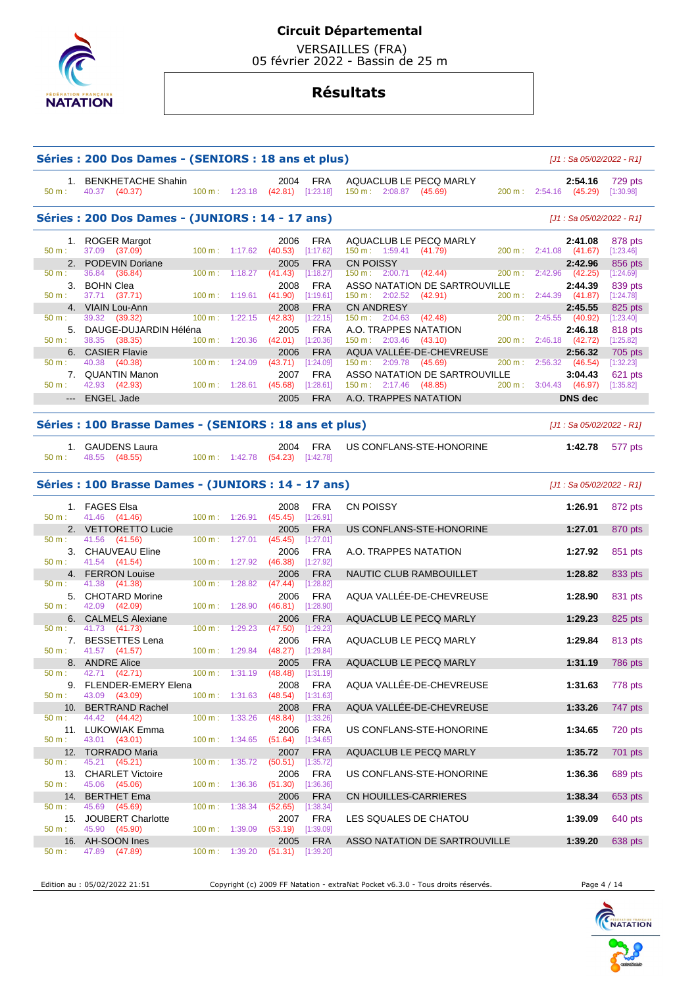

 VERSAILLES (FRA) 05 février 2022 - Bassin de 25 m

# **Résultats**

| Séries : 200 Dos Dames - (SENIORS : 18 ans et plus)<br>[J1 : Sa 05/02/2022 - R1] |                                                        |                            |                          |                                          |                         |                                                                |                                             |                      |  |  |  |
|----------------------------------------------------------------------------------|--------------------------------------------------------|----------------------------|--------------------------|------------------------------------------|-------------------------|----------------------------------------------------------------|---------------------------------------------|----------------------|--|--|--|
| 50 m:                                                                            | 1. BENKHETACHE Shahin<br>40.37 (40.37)                 |                            |                          | 2004<br>100 m: 1:23.18 (42.81) [1:23.18] | FRA                     | AQUACLUB LE PECQ MARLY<br>150 m: 2:08.87 (45.69)               | 2:54.16<br>200 m: 2:54.16 (45.29)           | 729 pts<br>[1:30.98] |  |  |  |
|                                                                                  | Séries : 200 Dos Dames - (JUNIORS : 14 - 17 ans)       |                            |                          |                                          |                         |                                                                | [J1 : Sa 05/02/2022 - R1]                   |                      |  |  |  |
|                                                                                  | 1. ROGER Margot                                        |                            |                          | 2006                                     | FRA                     | AQUACLUB LE PECQ MARLY                                         | 2:41.08                                     | 878 pts              |  |  |  |
| 50 m:<br>2.                                                                      | 37.09 (37.09)<br><b>PODEVIN Doriane</b>                |                            | $100 m$ : 1:17.62        | (40.53)                                  | [1:17.62]               | 150 m: 1:59.41 (41.79)                                         | $200 \text{ m}: 2:41.08$ (41.67)            | [1:23.46]            |  |  |  |
| $50 m$ :                                                                         | 36.84<br>(36.84)                                       | $100 \text{ m}$ :          | 1:18.27                  | 2005<br>(41.43)                          | <b>FRA</b><br>[1:18.27] | <b>CN POISSY</b><br>$150 \text{ m}: 2:00.71$ (42.44)           | 2:42.96<br>$200 \text{ m}: 2:42.96$ (42.25) | 856 pts<br>[1:24.69] |  |  |  |
|                                                                                  | 3. BOHN Clea                                           |                            |                          | 2008                                     | <b>FRA</b>              | ASSO NATATION DE SARTROUVILLE                                  | 2:44.39                                     | 839 pts              |  |  |  |
| $50 m$ :                                                                         | 37.71<br>(37.71)                                       | 100 m:                     | 1:19.61                  | (41.90)                                  | [1:19.61]               | (42.91)<br>$150 \text{ m}: 2:02.52$                            | 200 m: 2:44.39 (41.87)                      | [1:24.78]            |  |  |  |
| 50 m:                                                                            | 4. VIAIN Lou-Ann<br>39.32 (39.32)                      | $100 \text{ m}$ :          | 1:22.15                  | 2008<br>(42.83)                          | <b>FRA</b><br>[1:22.15] | <b>CN ANDRESY</b><br>150 m: 2:04.63<br>(42.48)                 | 2:45.55<br>200 m : 2:45.55 (40.92)          | 825 pts<br>[1:23.40] |  |  |  |
|                                                                                  | 5. DAUGE-DUJARDIN Héléna                               |                            |                          | 2005                                     | <b>FRA</b>              | A.O. TRAPPES NATATION                                          | 2:46.18                                     | 818 pts              |  |  |  |
| $50 m$ :                                                                         | 38.35 (38.35)                                          |                            | 100 m: 1:20.36           | (42.01)                                  | [1:20.36]               | $150 \text{ m}: 2:03.46$ (43.10)                               | 200 m : 2:46.18 (42.72)                     | [1:25.82]            |  |  |  |
|                                                                                  | 6. CASIER Flavie                                       |                            |                          | 2006                                     | <b>FRA</b>              | AQUA VALLÉE-DE-CHEVREUSE                                       | 2:56.32                                     | 705 pts              |  |  |  |
| 50 m:                                                                            | 40.38<br>(40.38)                                       | $100 \text{ m}$ :          | 1:24.09                  | (43.71)                                  | [1:24.09]               | 150 m: 2:09.78 (45.69)                                         | 200 m:<br>$2:56.32$ (46.54)                 | [1:32.23]            |  |  |  |
| 7.<br>50 m:                                                                      | <b>QUANTIN Manon</b><br>42.93 (42.93)                  |                            | 100 m: 1:28.61           | 2007<br>(45.68)                          | <b>FRA</b><br>[1:28.61] | <b>ASSO NATATION DE SARTROUVILLE</b><br>150 m: 2:17.46 (48.85) | 3:04.43<br>200 m: 3:04.43 (46.97)           | 621 pts<br>[1:35.82] |  |  |  |
|                                                                                  | --- ENGEL Jade                                         |                            |                          | 2005                                     | <b>FRA</b>              | A.O. TRAPPES NATATION                                          | <b>DNS</b> dec                              |                      |  |  |  |
|                                                                                  |                                                        |                            |                          |                                          |                         |                                                                |                                             |                      |  |  |  |
|                                                                                  | Séries : 100 Brasse Dames - (SENIORS : 18 ans et plus) |                            |                          |                                          |                         |                                                                | [J1 : Sa 05/02/2022 - R1]                   |                      |  |  |  |
| 50 m:                                                                            | 1. GAUDENS Laura<br>48.55<br>(48.55)                   |                            | $100 m$ : 1:42.78        | 2004<br>$(54.23)$ [1:42.78]              | <b>FRA</b>              | US CONFLANS-STE-HONORINE                                       | 1:42.78                                     | 577 pts              |  |  |  |
|                                                                                  | Séries : 100 Brasse Dames - (JUNIORS : 14 - 17 ans)    | $[J1: Sa 05/02/2022 - R1]$ |                          |                                          |                         |                                                                |                                             |                      |  |  |  |
| 50 m:                                                                            | 1. FAGES Elsa<br>41.46 (41.46)                         |                            | 100 m: 1:26.91           | 2008<br>(45.45)                          | <b>FRA</b><br>[1:26.91] | CN POISSY                                                      | 1:26.91                                     | 872 pts              |  |  |  |
|                                                                                  | 2. VETTORETTO Lucie                                    |                            |                          | 2005                                     | <b>FRA</b>              | US CONFLANS-STE-HONORINE                                       | 1:27.01                                     | 870 pts              |  |  |  |
| 50 m:                                                                            | 41.56<br>(41.56)                                       |                            | 100 m: 1:27.01           | (45.45)                                  | [1:27.01]               |                                                                |                                             |                      |  |  |  |
| 50 m:                                                                            | 3. CHAUVEAU Eline<br>41.54 (41.54)                     | 100 m:                     | 1:27.92                  | 2006<br>(46.38)                          | <b>FRA</b><br>[1:27.92] | A.O. TRAPPES NATATION                                          | 1:27.92                                     | 851 pts              |  |  |  |
|                                                                                  | 4. FERRON Louise                                       |                            |                          | 2006                                     | <b>FRA</b>              | NAUTIC CLUB RAMBOUILLET                                        | 1:28.82                                     | 833 pts              |  |  |  |
| 50 m:                                                                            | 41.38<br>(41.38)                                       | $100 \text{ m}$ :          | 1:28.82                  | (47.44)                                  | [1:28.82]               |                                                                |                                             |                      |  |  |  |
| 5.                                                                               | <b>CHOTARD Morine</b>                                  |                            |                          | 2006                                     | <b>FRA</b>              | AQUA VALLÉE-DE-CHEVREUSE                                       | 1:28.90                                     | 831 pts              |  |  |  |
| $50 m$ :                                                                         | 42.09 (42.09)                                          | 100 m:                     | 1:28.90                  | (46.81)                                  | [1:28.90]               |                                                                |                                             |                      |  |  |  |
| 6.<br>50 m:                                                                      | <b>CALMELS Alexiane</b><br>41.73 (41.73)               | 100 m:                     | 1:29.23                  | 2006<br>(47.50)                          | <b>FRA</b><br>[1:29.23] | AQUACLUB LE PECQ MARLY                                         | 1:29.23                                     | 825 pts              |  |  |  |
|                                                                                  | 7. BESSETTES Lena                                      |                            |                          | 2006                                     | <b>FRA</b>              | AQUACLUB LE PECQ MARLY                                         | 1:29.84                                     | 813 pts              |  |  |  |
| 50 m:                                                                            | 41.57 (41.57)                                          |                            | 100 m: 1:29.84           | (48.27)                                  | [1:29.84]               |                                                                |                                             |                      |  |  |  |
| 8.                                                                               | <b>ANDRE Alice</b>                                     |                            |                          | 2005                                     | <b>FRA</b>              | AQUACLUB LE PECQ MARLY                                         | 1:31.19                                     | 786 pts              |  |  |  |
| 50 m:                                                                            | 42.71 (42.71)                                          |                            | 100 m: 1:31.19           | $(48.48)$ [1:31.19]<br>2008              |                         | AQUA VALLÉE-DE-CHEVREUSE                                       | 1:31.63                                     |                      |  |  |  |
| $50 m$ :                                                                         | 9. FLENDER-EMERY Elena<br>43.09 (43.09)                |                            |                          | $100 \text{ m}: 1:31.63$ (48.54)         | <b>FRA</b><br>[1:31.63] |                                                                |                                             | 778 pts              |  |  |  |
|                                                                                  | 10. BERTRAND Rachel                                    |                            |                          | 2008                                     | <b>FRA</b>              | AQUA VALLÉE-DE-CHEVREUSE                                       | 1:33.26                                     | 747 pts              |  |  |  |
| 50 m:                                                                            | 44.42 (44.42)                                          | $100 \text{ m}$ :          | 1:33.26                  | $(48.84)$ [1:33.26]                      |                         |                                                                |                                             |                      |  |  |  |
|                                                                                  | 11. LUKOWIAK Emma                                      |                            |                          | 2006                                     | <b>FRA</b>              | US CONFLANS-STE-HONORINE                                       | 1:34.65                                     | 720 pts              |  |  |  |
| $50 m$ :                                                                         | 43.01 (43.01)                                          |                            | 100 m: 1:34.65           |                                          |                         |                                                                |                                             |                      |  |  |  |
|                                                                                  |                                                        |                            |                          |                                          | $(51.64)$ [1:34.65]     |                                                                |                                             |                      |  |  |  |
| 12.<br>50 m:                                                                     | <b>TORRADO Maria</b><br>45.21 (45.21)                  |                            | 100 m: 1:35.72           | 2007<br>(50.51)                          | <b>FRA</b><br>[1:35.72] | AQUACLUB LE PECQ MARLY                                         | 1:35.72                                     | 701 pts              |  |  |  |
|                                                                                  | 13. CHARLET Victoire                                   |                            |                          | 2006                                     | <b>FRA</b>              | US CONFLANS-STE-HONORINE                                       | 1:36.36                                     | 689 pts              |  |  |  |
| 50 m:                                                                            | 45.06<br>(45.06)                                       |                            | $100 \text{ m}: 1:36.36$ | (51.30)                                  | [1:36.36]               |                                                                |                                             |                      |  |  |  |
| 14.                                                                              | <b>BERTHET Ema</b>                                     |                            |                          | 2006                                     | <b>FRA</b>              | CN HOUILLES-CARRIERES                                          | 1:38.34                                     | 653 pts              |  |  |  |
| $50 m$ :                                                                         | 45.69<br>(45.69)                                       | 100 m:                     | 1:38.34                  | (52.65)                                  | [1:38.34]               |                                                                |                                             |                      |  |  |  |
| $50 m$ :                                                                         | 15. JOUBERT Charlotte<br>45.90 (45.90)                 |                            | 100 m: 1:39.09           | 2007<br>(53.19)                          | <b>FRA</b><br>[1:39.09] | LES SQUALES DE CHATOU                                          | 1:39.09                                     | 640 pts              |  |  |  |
| $50 m$ :                                                                         | 16. AH-SOON Ines<br>47.89 (47.89)                      | $100 \text{ m}$ :          | 1:39.20                  | 2005<br>$(51.31)$ [1:39.20]              | <b>FRA</b>              | ASSO NATATION DE SARTROUVILLE                                  | 1:39.20                                     | 638 pts              |  |  |  |

Edition au : 05/02/2022 21:51 Copyright (c) 2009 FF Natation - extraNat Pocket v6.3.0 - Tous droits réservés. Page 4 / 14

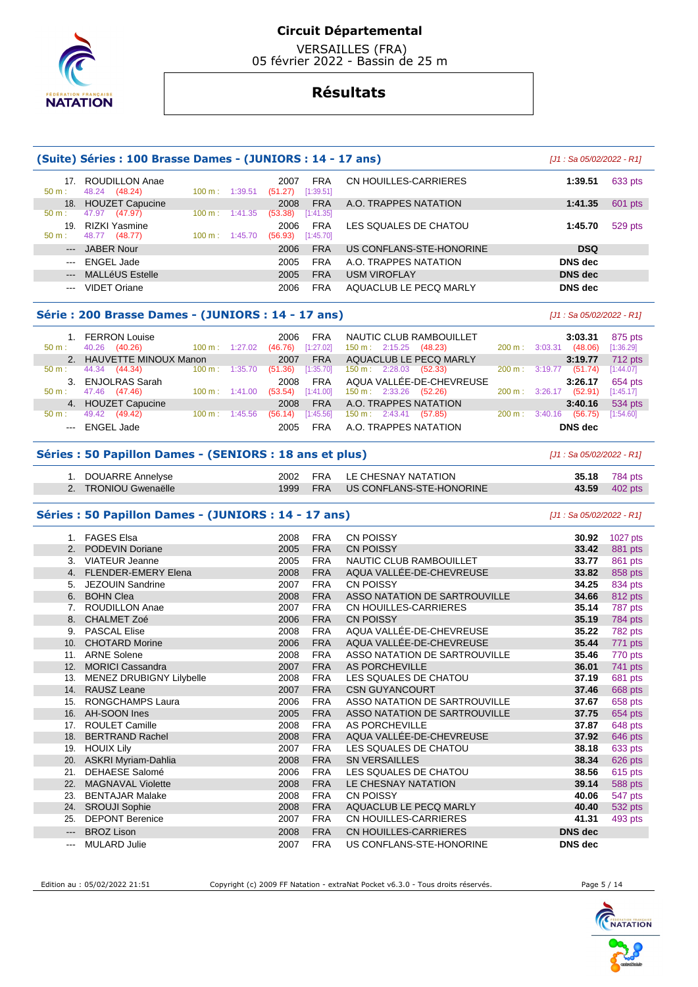

 VERSAILLES (FRA) 05 février 2022 - Bassin de 25 m

# **Résultats**

|                                                    | (Suite) Séries : 100 Brasse Dames - (JUNIORS : 14 - 17 ans) |                           |                                     |                          |                    |  |  |  |  |  |  |  |
|----------------------------------------------------|-------------------------------------------------------------|---------------------------|-------------------------------------|--------------------------|--------------------|--|--|--|--|--|--|--|
| 17 <sub>1</sub><br>$50 m$ :                        | <b>ROUDILLON Anae</b><br>48.24 (48.24)                      | $100 \text{ m}$ : 1:39.51 | FRA<br>2007<br>[1:39.51]<br>(51.27) | CN HOUILLES-CARRIERES    | 633 pts<br>1:39.51 |  |  |  |  |  |  |  |
| 18.                                                | <b>HOUZET Capucine</b>                                      |                           | <b>FRA</b><br>2008                  | A.O. TRAPPES NATATION    | 1:41.35<br>601 pts |  |  |  |  |  |  |  |
| $50 m$ :                                           | 47.97 (47.97)                                               | $100 \text{ m}$ : 1:41.35 | (53.38)<br>[1:41.35]                |                          |                    |  |  |  |  |  |  |  |
| 19 <sub>1</sub>                                    | RIZKI Yasmine                                               |                           | <b>FRA</b><br>2006                  | LES SOUALES DE CHATOU    | 1:45.70<br>529 pts |  |  |  |  |  |  |  |
| $50 m$ :                                           | 48.77 (48.77)                                               | $100 \text{ m}: 1:45.70$  | (56.93)<br>[1:45.70]                |                          |                    |  |  |  |  |  |  |  |
| $---$                                              | <b>JABER Nour</b>                                           |                           | <b>FRA</b><br>2006                  | US CONFLANS-STE-HONORINE | <b>DSQ</b>         |  |  |  |  |  |  |  |
| $\sim$ $\sim$ $\sim$                               | ENGEL Jade                                                  |                           | <b>FRA</b><br>2005                  | A.O. TRAPPES NATATION    | DNS dec            |  |  |  |  |  |  |  |
| $--$                                               | <b>MALLéUS Estelle</b>                                      |                           | <b>FRA</b><br>2005                  | <b>USM VIROFLAY</b>      | <b>DNS</b> dec     |  |  |  |  |  |  |  |
| $\sim$ $\sim$ $\sim$                               | <b>VIDET Oriane</b>                                         |                           | <b>FRA</b><br>2006                  | AQUACLUB LE PECQ MARLY   | <b>DNS</b> dec     |  |  |  |  |  |  |  |
|                                                    |                                                             |                           |                                     |                          |                    |  |  |  |  |  |  |  |
| Série : 200 Brasse Dames - (JUNIORS : 14 - 17 ans) | [J1 : Sa 05/02/2022 - R1]                                   |                           |                                     |                          |                    |  |  |  |  |  |  |  |

| 50 m:                                                                                                                                                                                                                                                                                                                                                                                                                                                                      | 1. FERRON Louise<br>(40.26)<br>40.26 | $100 \text{ m}$ : | 1:27.02 | 2006<br>(46.76) | FRA<br>[1:27.02] | $150 \text{ m}: 2:15.25$ |                          | NAUTIC CLUB RAMBOUILLET<br>(48.23) | $200 \text{ m}$ : | 3:03.31 | 3:03.31<br>(48.06) | 875 pts<br>[1:36.29] |
|----------------------------------------------------------------------------------------------------------------------------------------------------------------------------------------------------------------------------------------------------------------------------------------------------------------------------------------------------------------------------------------------------------------------------------------------------------------------------|--------------------------------------|-------------------|---------|-----------------|------------------|--------------------------|--------------------------|------------------------------------|-------------------|---------|--------------------|----------------------|
|                                                                                                                                                                                                                                                                                                                                                                                                                                                                            | 2. HAUVETTE MINOUX Manon             |                   |         | 2007            | <b>FRA</b>       |                          |                          | AQUACLUB LE PECQ MARLY             |                   |         | 3:19.77            | 712 pts              |
| 50 m:                                                                                                                                                                                                                                                                                                                                                                                                                                                                      | 44.34<br>(44.34)                     | $100 \text{ m}$ : | 1:35.70 | (51.36)         | [1:35.70]        |                          | $150 \text{ m}: 2:28.03$ | (52.33)                            | $200 \text{ m}$ : | 3:19.77 | (51.74)            | [1:44.07]            |
| 3 <sub>1</sub>                                                                                                                                                                                                                                                                                                                                                                                                                                                             | <b>ENJOLRAS Sarah</b>                |                   |         | 2008            | <b>FRA</b>       |                          |                          | AQUA VALLÉE-DE-CHEVREUSE           |                   |         | 3:26.17            | 654 pts              |
| $50 m$ :                                                                                                                                                                                                                                                                                                                                                                                                                                                                   | (47.46)<br>47.46                     | $100 \text{ m}$ : | 1:41.00 | (53.54)         | [1:41.00]        | $150 \text{ m}: 2:33.26$ |                          | (52.26)                            | $200 \text{ m}$ : | 3:26.17 | (52.91)            | [1:45.17]            |
|                                                                                                                                                                                                                                                                                                                                                                                                                                                                            | 4. HOUZET Capucine                   |                   |         | 2008            | <b>FRA</b>       |                          |                          | A.O. TRAPPES NATATION              |                   |         | 3:40.16            | 534 pts              |
| $50 m$ :                                                                                                                                                                                                                                                                                                                                                                                                                                                                   | 49.42<br>(49.42)                     | $100 \text{ m}$ : | 1:45.56 | (56.14)         | [1:45.56]        | 150 m : 2:43.41          |                          | (57.85)                            | $200 \text{ m}$ : | 3:40.16 | (56.75)            | [1:54.60]            |
| $\frac{1}{2} \left( \frac{1}{2} \right) \left( \frac{1}{2} \right) \left( \frac{1}{2} \right) \left( \frac{1}{2} \right) \left( \frac{1}{2} \right) \left( \frac{1}{2} \right) \left( \frac{1}{2} \right) \left( \frac{1}{2} \right) \left( \frac{1}{2} \right) \left( \frac{1}{2} \right) \left( \frac{1}{2} \right) \left( \frac{1}{2} \right) \left( \frac{1}{2} \right) \left( \frac{1}{2} \right) \left( \frac{1}{2} \right) \left( \frac{1}{2} \right) \left( \frac$ | ENGEL Jade                           |                   |         | 2005            | FRA              |                          |                          | A.O. TRAPPES NATATION              |                   |         | DNS dec            |                      |

# **Séries : 50 Papillon Dames - (SENIORS : 18 ans et plus)** [J1 : Sa 05/02/2022 - R1]

| 1. DOUARRE Annelyse  |  | 2002 FRA LE CHESNAY NATATION      | <b>35.18</b> 784 pts |
|----------------------|--|-----------------------------------|----------------------|
| 2. TRONIOU Gwenaëlle |  | 1999 FRA US CONFLANS-STE-HONORINE | <b>43.59</b> 402 pts |

#### **Séries : 50 Papillon Dames - (JUNIORS : 14 - 17 ans)** [J1 : Sa 05/02/2022 - R1]

| <b>FAGES Elsa</b>                                                             | 2008                                                                                                   | <b>FRA</b> | <b>CN POISSY</b>              | 30.92                                                                    | 1027 pts                         |
|-------------------------------------------------------------------------------|--------------------------------------------------------------------------------------------------------|------------|-------------------------------|--------------------------------------------------------------------------|----------------------------------|
| <b>PODEVIN Doriane</b>                                                        | 2005                                                                                                   | <b>FRA</b> | <b>CN POISSY</b>              | 33.42                                                                    | 881 pts                          |
| <b>VIATEUR Jeanne</b>                                                         | 2005                                                                                                   | <b>FRA</b> | NAUTIC CLUB RAMBOUILLET       | 33.77                                                                    | 861 pts                          |
| <b>FLENDER-EMERY Elena</b>                                                    | 2008                                                                                                   | <b>FRA</b> | AQUA VALLÉE-DE-CHEVREUSE      | 33.82                                                                    | 858 pts                          |
| JEZOUIN Sandrine                                                              | 2007                                                                                                   | <b>FRA</b> | CN POISSY                     | 34.25                                                                    | 834 pts                          |
| <b>BOHN Clea</b>                                                              | 2008                                                                                                   | <b>FRA</b> | ASSO NATATION DE SARTROUVILLE | 34.66                                                                    | 812 pts                          |
| ROUDILLON Anae                                                                | 2007                                                                                                   | <b>FRA</b> | CN HOUILLES-CARRIERES         | 35.14                                                                    | 787 pts                          |
| <b>CHALMET Zoé</b>                                                            | 2006                                                                                                   | <b>FRA</b> | <b>CN POISSY</b>              | 35.19                                                                    | 784 pts                          |
| <b>PASCAL Elise</b>                                                           | 2008                                                                                                   | <b>FRA</b> | AQUA VALLÉE-DE-CHEVREUSE      | 35.22                                                                    | 782 pts                          |
| <b>CHOTARD Morine</b>                                                         | 2006                                                                                                   | <b>FRA</b> | AQUA VALLÉE-DE-CHEVREUSE      | 35.44                                                                    | 771 pts                          |
| <b>ARNE Solene</b>                                                            | 2008                                                                                                   | <b>FRA</b> | ASSO NATATION DE SARTROUVILLE | 35.46                                                                    | 770 pts                          |
| <b>MORICI Cassandra</b>                                                       | 2007                                                                                                   | <b>FRA</b> | AS PORCHEVILLE                | 36.01                                                                    | 741 pts                          |
| MENEZ DRUBIGNY Lilybelle                                                      | 2008                                                                                                   | <b>FRA</b> | LES SQUALES DE CHATOU         | 37.19                                                                    | 681 pts                          |
| RAUSZ Leane                                                                   | 2007                                                                                                   | <b>FRA</b> | <b>CSN GUYANCOURT</b>         | 37.46                                                                    | 668 pts                          |
| <b>RONGCHAMPS Laura</b>                                                       | 2006                                                                                                   | <b>FRA</b> | ASSO NATATION DE SARTROUVILLE | 37.67                                                                    | 658 pts                          |
| AH-SOON Ines                                                                  | 2005                                                                                                   | <b>FRA</b> | ASSO NATATION DE SARTROUVILLE | 37.75                                                                    | 654 pts                          |
| ROULET Camille                                                                | 2008                                                                                                   | <b>FRA</b> | AS PORCHEVILLE                | 37.87                                                                    | 648 pts                          |
| <b>BERTRAND Rachel</b>                                                        | 2008                                                                                                   | <b>FRA</b> |                               | 37.92                                                                    | 646 pts                          |
| <b>HOUIX Lily</b>                                                             | 2007                                                                                                   | <b>FRA</b> | LES SQUALES DE CHATOU         | 38.18                                                                    | 633 pts                          |
|                                                                               | 2008                                                                                                   | <b>FRA</b> | <b>SN VERSAILLES</b>          | 38.34                                                                    | 626 pts                          |
|                                                                               | 2006                                                                                                   | <b>FRA</b> |                               | 38.56                                                                    | 615 pts                          |
| <b>MAGNAVAL Violette</b>                                                      | 2008                                                                                                   | <b>FRA</b> |                               | 39.14                                                                    | 588 pts                          |
| <b>BENTAJAR Malake</b>                                                        | 2008                                                                                                   | <b>FRA</b> | <b>CN POISSY</b>              | 40.06                                                                    | 547 pts                          |
| <b>SROUJI Sophie</b>                                                          | 2008                                                                                                   | <b>FRA</b> | AQUACLUB LE PECQ MARLY        | 40.40                                                                    | 532 pts                          |
| <b>DEPONT Berenice</b>                                                        | 2007                                                                                                   | <b>FRA</b> | CN HOUILLES-CARRIERES         | 41.31                                                                    | 493 pts                          |
| <b>BROZ Lison</b>                                                             | 2008                                                                                                   | <b>FRA</b> | CN HOUILLES-CARRIERES         |                                                                          |                                  |
| <b>MULARD Julie</b>                                                           | 2007                                                                                                   | <b>FRA</b> | US CONFLANS-STE-HONORINE      |                                                                          |                                  |
| 5.<br>7.<br>9.<br>11.<br>13.<br>16.<br>17.<br>19.<br>21.<br>22.<br>23.<br>24. | 2.<br>3.<br>4.<br>6.<br>8.<br>10.<br>14.<br>18.<br>ASKRI Myriam-Dahlia<br>20.<br><b>DEHAESE Salomé</b> |            |                               | AQUA VALLÉE-DE-CHEVREUSE<br>LES SQUALES DE CHATOU<br>LE CHESNAY NATATION | <b>DNS</b> dec<br><b>DNS</b> dec |

Edition au : 05/02/2022 21:51 Copyright (c) 2009 FF Natation - extraNat Pocket v6.3.0 - Tous droits réservés. Page 5 / 14

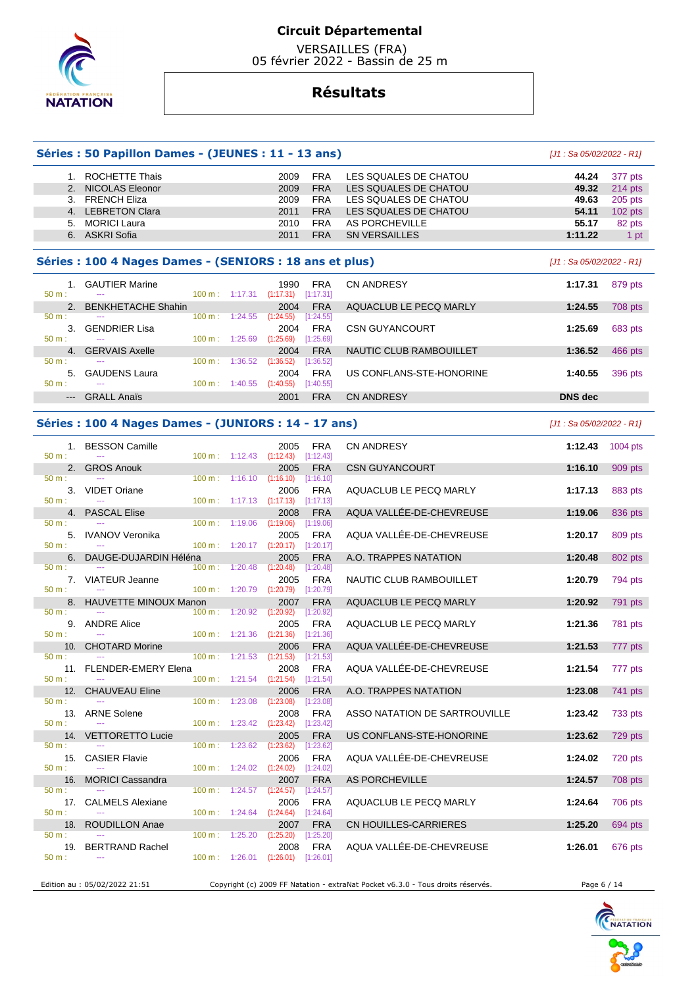

 VERSAILLES (FRA) 05 février 2022 - Bassin de 25 m

# **Résultats**

### **Séries : 50 Papillon Dames - (JEUNES : 11 - 13 ans)** [J1 : Sa 05/02/2022 - R1]

#### 1. ROCHETTE Thais 2009 FRA LES SQUALES DE CHATOU **44.24** 377 pts 2. NICOLAS Eleonor 2009 FRA LES SQUALES DE CHATOU 3. FRENCH Eliza **2009** FRA LES SQUALES DE CHATOU 3. FRENCH Eliza 2009 FRA LES SQUALES DE CHATOU **49.63** 205 pts 2011 FRA LES SQUALES DE CHATOU 54.11 102 pts 5. MORICI Laura 2010 FRA AS PORCHEVILLE **55.17** 82 pts 6. ASKRI Sofia 2011 FRA SN VERSAILLES **1:11.22** 1 pt

## **Séries : 100 4 Nages Dames - (SENIORS : 18 ans et plus)** [J1 : Sa 05/02/2022 - R1]

| 50 m:    |                       | <b>GAUTIER Marine</b><br>--- | $100 \text{ m}: 1:17.31$ |         | 1990<br>(1:17.31) | <b>FRA</b><br>[1:17.31] | <b>CN ANDRESY</b>        | 1:17.31        | 879 pts |
|----------|-----------------------|------------------------------|--------------------------|---------|-------------------|-------------------------|--------------------------|----------------|---------|
|          | $\mathcal{P}_{\cdot}$ | <b>BENKHETACHE Shahin</b>    |                          |         | 2004              | <b>FRA</b>              | AQUACLUB LE PECQ MARLY   | 1:24.55        | 708 pts |
| 50 m:    |                       | ---                          | 100 m:                   | 1:24.55 | (1:24.55)         | [1:24.55]               |                          |                |         |
|          |                       | <b>GENDRIER Lisa</b>         |                          |         | 2004              | <b>FRA</b>              | <b>CSN GUYANCOURT</b>    | 1:25.69        | 683 pts |
| 50 m:    |                       | ---                          | 100 m:                   | 1:25.69 | (1:25.69)         | [1:25.69]               |                          |                |         |
|          | $\mathbf{4}$          | <b>GERVAIS Axelle</b>        |                          |         | 2004              | <b>FRA</b>              | NAUTIC CLUB RAMBOUILLET  | 1:36.52        | 466 pts |
| 50 m:    |                       | ---                          | $100 m$ :                | 1:36.52 | (1:36.52)         | [1:36.52]               |                          |                |         |
|          | 5.                    | <b>GAUDENS Laura</b>         |                          |         | 2004              | <b>FRA</b>              | US CONFLANS-STE-HONORINE | 1:40.55        | 396 pts |
| $50 m$ : |                       | ---                          | $100 \text{ m}$          | 1:40.55 | (1:40.55)         | [1:40.55]               |                          |                |         |
|          | $---$                 | <b>GRALL Anaïs</b>           |                          |         | 2001              | <b>FRA</b>              | CN ANDRESY               | <b>DNS</b> dec |         |
|          |                       |                              |                          |         |                   |                         |                          |                |         |

#### **Séries : 100 4 Nages Dames - (JUNIORS : 14 - 17 ans)** [J1 : Sa 05/02/2022 - R1]

|                  | 1. BESSON Camille                                      |                   |                                      | 2005                                 | <b>FRA</b> | <b>CN ANDRESY</b>             | 1:12.43 | 1004 pts       |
|------------------|--------------------------------------------------------|-------------------|--------------------------------------|--------------------------------------|------------|-------------------------------|---------|----------------|
| $50 m$ :         |                                                        |                   |                                      | $100 \text{ m}: 1:12.43$ $(1:12.43)$ | [1:12.43]  |                               |         |                |
|                  | 2. GROS Anouk                                          |                   |                                      | 2005                                 | <b>FRA</b> | <b>CSN GUYANCOURT</b>         | 1:16.10 | 909 pts        |
| $50 m$ :         |                                                        | 100 m:            | 1:16.10                              | (1:16.10)                            | [1:16.10]  |                               |         |                |
|                  | 3. VIDET Oriane                                        |                   |                                      | 2006                                 | <b>FRA</b> | AQUACLUB LE PECQ MARLY        | 1:17.13 | 883 pts        |
| $50 m$ :         |                                                        | 100 m:            | $1:17.13$ $(1:17.13)$                |                                      | [1:17.13]  |                               |         |                |
|                  | 4. PASCAL Elise                                        |                   |                                      | 2008                                 | <b>FRA</b> | AQUA VALLÉE-DE-CHEVREUSE      | 1:19.06 | 836 pts        |
| $50 m$ :         |                                                        |                   | 100 m: 1:19.06                       | (1:19.06)                            | [1:19.06]  |                               |         |                |
|                  | 5. IVANOV Veronika                                     |                   |                                      | 2005                                 | <b>FRA</b> | AQUA VALLÉE-DE-CHEVREUSE      | 1:20.17 | 809 pts        |
| $50 m$ :         | $\sim$ $\sim$                                          |                   | $100 \text{ m}: 1:20.17$ $(1:20.17)$ |                                      | [1:20.17]  |                               |         |                |
|                  | 6. DAUGE-DUJARDIN Héléna                               |                   |                                      | 2005                                 | <b>FRA</b> | A.O. TRAPPES NATATION         | 1:20.48 | 802 pts        |
| $50 m$ :         |                                                        |                   | 100 m: 1:20.48                       | (1:20.48)                            | [1:20.48]  |                               |         |                |
|                  | 7. VIATEUR Jeanne                                      |                   |                                      | 2005                                 | <b>FRA</b> | NAUTIC CLUB RAMBOUILLET       | 1:20.79 | 794 pts        |
| $50 m$ :         | $\sim$                                                 | 100 m: 1:20.79    |                                      | (1:20.79)                            | [1:20.79]  |                               |         |                |
|                  | 8. HAUVETTE MINOUX Manon                               |                   |                                      | 2007                                 | <b>FRA</b> | AQUACLUB LE PECQ MARLY        | 1:20.92 | 791 pts        |
| $50 m$ :         |                                                        | $100 \text{ m}$ : | 1:20.92                              | (1:20.92)                            | [1:20.92]  |                               |         |                |
|                  | 9. ANDRE Alice                                         |                   |                                      | 2005                                 | <b>FRA</b> | AQUACLUB LE PECQ MARLY        | 1:21.36 | <b>781 pts</b> |
| $50 m$ :         | $\sim$ $\sim$                                          |                   | $100 m$ : 1:21.36                    | (1:21.36)                            | [1:21.36]  |                               |         |                |
|                  | 10. CHOTARD Morine                                     |                   |                                      | 2006                                 | <b>FRA</b> | AQUA VALLÉE-DE-CHEVREUSE      | 1:21.53 | 777 pts        |
| $50 m$ :         |                                                        | $100 \text{ m}$ : | 1:21.53                              | (1:21.53)                            | [1:21.53]  |                               |         |                |
|                  |                                                        |                   |                                      | 2008                                 | <b>FRA</b> | AQUA VALLÉE-DE-CHEVREUSE      |         |                |
| $50 \text{ m}$ : | 11. FLENDER-EMERY Elena<br>$\mathbb{Z} \to \mathbb{Z}$ |                   |                                      |                                      |            |                               | 1:21.54 | 777 pts        |
|                  |                                                        |                   | $100 m$ : 1:21.54                    | (1:21.54)                            | [1:21.54]  |                               |         |                |
|                  | 12. CHAUVEAU Eline                                     |                   |                                      | 2006                                 | <b>FRA</b> | A.O. TRAPPES NATATION         | 1:23.08 | 741 pts        |
| $50 m$ :         |                                                        | 100 m:            | 1:23.08                              | (1:23.08)                            | [1:23.08]  |                               |         |                |
|                  | 13. ARNE Solene                                        |                   |                                      | 2008                                 | <b>FRA</b> | ASSO NATATION DE SARTROUVILLE | 1:23.42 | 733 pts        |
| $50 \text{ m}$ : |                                                        |                   | 100 m: 1:23.42 (1:23.42)             |                                      | [1:23.42]  |                               |         |                |
|                  | 14. VETTORETTO Lucie                                   |                   |                                      | 2005                                 | <b>FRA</b> | US CONFLANS-STE-HONORINE      | 1:23.62 | 729 pts        |
| $50 \text{ m}$ : |                                                        | 100 m:            | 1:23.62                              | (1:23.62)                            | [1:23.62]  |                               |         |                |
|                  | 15. CASIER Flavie                                      |                   |                                      | 2006                                 | <b>FRA</b> | AQUA VALLÉE-DE-CHEVREUSE      | 1:24.02 | 720 pts        |
| $50 m$ :         | $\sim$                                                 |                   | $100 m$ : 1:24.02                    | (1:24.02)                            | [1:24.02]  |                               |         |                |
| 16.              | <b>MORICI Cassandra</b>                                |                   |                                      | 2007                                 | <b>FRA</b> | AS PORCHEVILLE                | 1:24.57 | 708 pts        |
| $50 m$ :         |                                                        | $100 \text{ m}$ : | 1:24.57                              | (1:24.57)                            | [1:24.57]  |                               |         |                |
|                  | 17. CALMELS Alexiane                                   |                   |                                      | 2006                                 | <b>FRA</b> | AQUACLUB LE PECQ MARLY        | 1:24.64 | 706 pts        |
| $50 m$ :         |                                                        |                   | $100 m$ : 1:24.64                    | (1:24.64)                            | [1:24.64]  |                               |         |                |
|                  | 18. ROUDILLON Anae                                     |                   |                                      | 2007                                 | <b>FRA</b> | CN HOUILLES-CARRIERES         | 1:25.20 | 694 pts        |
| $50 m$ :         | $\sim$ $\sim$                                          | $100 \text{ m}$ : | 1:25.20                              | (1:25.20)                            | [1:25.20]  |                               |         |                |
|                  | 19. BERTRAND Rachel                                    |                   |                                      | 2008                                 | <b>FRA</b> | AQUA VALLÉE-DE-CHEVREUSE      | 1:26.01 | 676 pts        |
| $50 m$ :         |                                                        | 100 m:            | 1:26.01                              | (1:26.01)                            | [1:26.01]  |                               |         |                |
|                  |                                                        |                   |                                      |                                      |            |                               |         |                |
|                  |                                                        |                   |                                      |                                      |            |                               |         |                |

Edition au : 05/02/2022 21:51 Copyright (c) 2009 FF Natation - extraNat Pocket v6.3.0 - Tous droits réservés. Page 6 / 14

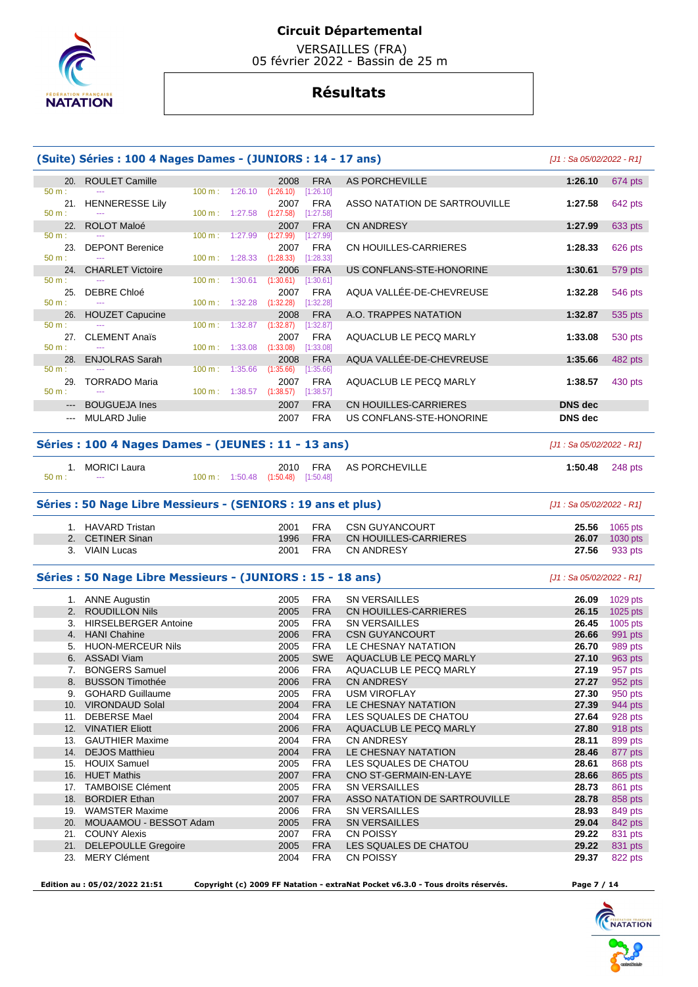

 VERSAILLES (FRA) 05 février 2022 - Bassin de 25 m

# **Résultats**

|                 | (Suite) Séries : 100 4 Nages Dames - (JUNIORS : 14 - 17 ans)  |                   |                          |                                                          |                          |                                          | $[J1: Sa 05/02/2022 - R1]$ |                    |
|-----------------|---------------------------------------------------------------|-------------------|--------------------------|----------------------------------------------------------|--------------------------|------------------------------------------|----------------------------|--------------------|
| 20.             | <b>ROULET Camille</b>                                         |                   |                          | 2008                                                     | <b>FRA</b>               | <b>AS PORCHEVILLE</b>                    | 1:26.10                    | 674 pts            |
| 50 m:<br>21.    | <b>HENNERESSE Lily</b>                                        | $100 \text{ m}$ : | 1:26.10                  | (1:26.10)<br>2007                                        | [1:26.10]<br><b>FRA</b>  | ASSO NATATION DE SARTROUVILLE            | 1:27.58                    | 642 pts            |
| 50 m:           |                                                               |                   | 100 m: 1:27.58           | (1:27.58)                                                | $[1:27.58]$              |                                          |                            |                    |
| 22.<br>50 m:    | ROLOT Maloé                                                   |                   | $100 \text{ m}: 1:27.99$ | 2007<br>(1:27.99)                                        | <b>FRA</b><br>[1:27.99]  | <b>CN ANDRESY</b>                        | 1:27.99                    | 633 pts            |
| 23.<br>$50 m$ : | <b>DEPONT Berenice</b>                                        |                   | $100 \text{ m}: 1:28.33$ | 2007                                                     | FRA                      | CN HOUILLES-CARRIERES                    | 1:28.33                    | 626 pts            |
| 24.             | <b>CHARLET Victoire</b>                                       |                   |                          | (1:28.33)<br>2006                                        | [1:28.33]<br><b>FRA</b>  | US CONFLANS-STE-HONORINE                 | 1:30.61                    | 579 pts            |
| 50 m:           |                                                               | $100 \text{ m}$ : | 1:30.61                  | (1:30.61)                                                | [1:30.61]                |                                          |                            |                    |
| 25.<br>50 m:    | DEBRE Chloé                                                   |                   | $100 \text{ m}: 1:32.28$ | 2007<br>(1:32.28)                                        | FRA<br>[1:32.28]         | AQUA VALLÉE-DE-CHEVREUSE                 | 1:32.28                    | 546 pts            |
| 26.             | <b>HOUZET Capucine</b>                                        |                   |                          | 2008                                                     | <b>FRA</b>               | A.O. TRAPPES NATATION                    | 1:32.87                    | 535 pts            |
| 50 m:           |                                                               | 100 m:            | 1:32.87                  | (1:32.87)                                                | [1:32.87]                |                                          |                            |                    |
| 27.<br>50 m:    | <b>CLEMENT Anaïs</b>                                          |                   | $100 \text{ m}: 1:33.08$ | 2007<br>(1:33.08)                                        | <b>FRA</b><br>[1:33.08]  | AQUACLUB LE PECQ MARLY                   | 1:33.08                    | 530 pts            |
| 28.             | <b>ENJOLRAS Sarah</b>                                         |                   |                          | 2008                                                     | <b>FRA</b>               | AQUA VALLÉE-DE-CHEVREUSE                 | 1:35.66                    | 482 pts            |
| 50 m:           |                                                               | 100 m:            | 1:35.66                  | (1:35.66)                                                | [1:35.66]                |                                          |                            |                    |
| 29.<br>50 m:    | <b>TORRADO Maria</b>                                          |                   |                          | 2007<br>$100 \text{ m}: 1:38.57$ $(1:38.57)$ $[1:38.57]$ | FRA                      | AQUACLUB LE PECQ MARLY                   | 1:38.57                    | 430 pts            |
| $---$           | <b>BOUGUEJA Ines</b>                                          |                   |                          | 2007                                                     | <b>FRA</b>               | CN HOUILLES-CARRIERES                    | DNS dec                    |                    |
|                 | <b>MULARD Julie</b>                                           |                   |                          | 2007                                                     | <b>FRA</b>               | US CONFLANS-STE-HONORINE                 | <b>DNS</b> dec             |                    |
|                 | Séries : 100 4 Nages Dames - (JEUNES : 11 - 13 ans)           |                   |                          |                                                          |                          |                                          | [J1 : Sa 05/02/2022 - R1]  |                    |
|                 | 1. MORICI Laura                                               |                   |                          | 2010                                                     | <b>FRA</b>               | <b>AS PORCHEVILLE</b>                    | 1:50.48                    | 248 pts            |
| 50 m:           | $\overline{a}$                                                |                   |                          | 100 m: 1:50.48 (1:50.48) [1:50.48]                       |                          |                                          |                            |                    |
|                 | Séries : 50 Nage Libre Messieurs - (SENIORS : 19 ans et plus) |                   |                          |                                                          |                          |                                          | [J1 : Sa 05/02/2022 - R1]  |                    |
|                 | 1. HAVARD Tristan                                             |                   |                          | 2001                                                     | <b>FRA</b>               | <b>CSN GUYANCOURT</b>                    | 25.56                      | 1065 pts           |
|                 | 2. CETINER Sinan                                              |                   |                          | 1996                                                     | <b>FRA</b>               | <b>CN HOUILLES-CARRIERES</b>             | 26.07                      | 1030 pts           |
|                 | 3. VIAIN Lucas                                                |                   |                          | 2001                                                     | <b>FRA</b>               | CN ANDRESY                               | 27.56                      | 933 pts            |
|                 | Séries : 50 Nage Libre Messieurs - (JUNIORS : 15 - 18 ans)    |                   |                          |                                                          |                          |                                          | $[J1: Sa 05/02/2022 - R1]$ |                    |
|                 | 1. ANNE Augustin                                              |                   |                          | 2005                                                     | <b>FRA</b>               | <b>SN VERSAILLES</b>                     | 26.09                      | 1029 pts           |
|                 | 2. ROUDILLON Nils                                             |                   |                          | 2005                                                     | <b>FRA</b>               | CN HOUILLES-CARRIERES                    | 26.15                      | 1025 pts           |
|                 | 3. HIRSELBERGER Antoine                                       |                   |                          | 2005                                                     | <b>FRA</b>               | <b>SN VERSAILLES</b>                     | 26.45                      | 1005 pts           |
|                 | 4. HANI Chahine                                               |                   |                          | 2006                                                     | <b>FRA</b>               | <b>CSN GUYANCOURT</b>                    | 26.66                      | 991 pts            |
| 5.              | <b>HUON-MERCEUR Nils</b>                                      |                   |                          | 2005                                                     | <b>FRA</b>               | LE CHESNAY NATATION                      | 26.70                      | 989 pts            |
|                 | 6. ASSADI Viam                                                |                   |                          | 2005                                                     | <b>SWE</b>               | AQUACLUB LE PECQ MARLY                   | 27.10                      | 963 pts            |
|                 | 7. BONGERS Samuel                                             |                   |                          | 2006                                                     | <b>FRA</b>               | AQUACLUB LE PECQ MARLY                   | 27.19                      | 957 pts            |
|                 | 8. BUSSON Timothée                                            |                   |                          | 2006                                                     | <b>FRA</b>               | <b>CN ANDRESY</b>                        | 27.27                      | 952 pts            |
| 9.              | <b>GOHARD Guillaume</b>                                       |                   |                          | 2005                                                     | <b>FRA</b>               | USM VIROFLAY                             | 27.30                      | 950 pts            |
|                 | 10. VIRONDAUD Solal                                           |                   |                          | 2004                                                     | <b>FRA</b>               | LE CHESNAY NATATION                      | 27.39                      | 944 pts            |
|                 | 11. DEBERSE Mael                                              |                   |                          | 2004                                                     | FRA                      | LES SQUALES DE CHATOU                    | 27.64                      | 928 pts            |
|                 | 12. VINATIER Eliott                                           |                   |                          | 2006                                                     | <b>FRA</b>               | AQUACLUB LE PECQ MARLY                   | 27.80                      | 918 pts            |
|                 | 13. GAUTHIER Maxime<br>14. DEJOS Matthieu                     |                   |                          | 2004<br>2004                                             | <b>FRA</b><br><b>FRA</b> | <b>CN ANDRESY</b><br>LE CHESNAY NATATION | 28.11<br>28.46             | 899 pts<br>877 pts |
|                 | 15. HOUIX Samuel                                              |                   |                          | 2005                                                     | <b>FRA</b>               | LES SQUALES DE CHATOU                    | 28.61                      | 868 pts            |
|                 | 16. HUET Mathis                                               |                   |                          | 2007                                                     | <b>FRA</b>               | CNO ST-GERMAIN-EN-LAYE                   | 28.66                      | 865 pts            |
|                 | 17. TAMBOISE Clément                                          |                   |                          | 2005                                                     | <b>FRA</b>               | SN VERSAILLES                            | 28.73                      | 861 pts            |
| 18.             | <b>BORDIER Ethan</b>                                          |                   |                          | 2007                                                     | <b>FRA</b>               | ASSO NATATION DE SARTROUVILLE            | 28.78                      | 858 pts            |
|                 | 19. WAMSTER Maxime                                            |                   |                          | 2006                                                     | FRA                      | SN VERSAILLES                            | 28.93                      | 849 pts            |
|                 | 20. MOUAAMOU - BESSOT Adam                                    |                   |                          | 2005                                                     | <b>FRA</b>               | <b>SN VERSAILLES</b>                     | 29.04                      | 842 pts            |
|                 | 21. COUNY Alexis                                              |                   |                          | 2007                                                     | <b>FRA</b>               | CN POISSY                                | 29.22                      | 831 pts            |
| 21.             | <b>DELEPOULLE Gregoire</b>                                    |                   |                          | 2005                                                     | <b>FRA</b>               | LES SQUALES DE CHATOU                    | 29.22                      | 831 pts            |
|                 | 23. MERY Clément                                              |                   |                          | 2004                                                     | <b>FRA</b>               | CN POISSY                                | 29.37                      | 822 pts            |

 **Edition au : 05/02/2022 21:51 Copyright (c) 2009 FF Natation - extraNat Pocket v6.3.0 - Tous droits réservés. Page 7 / 14** 

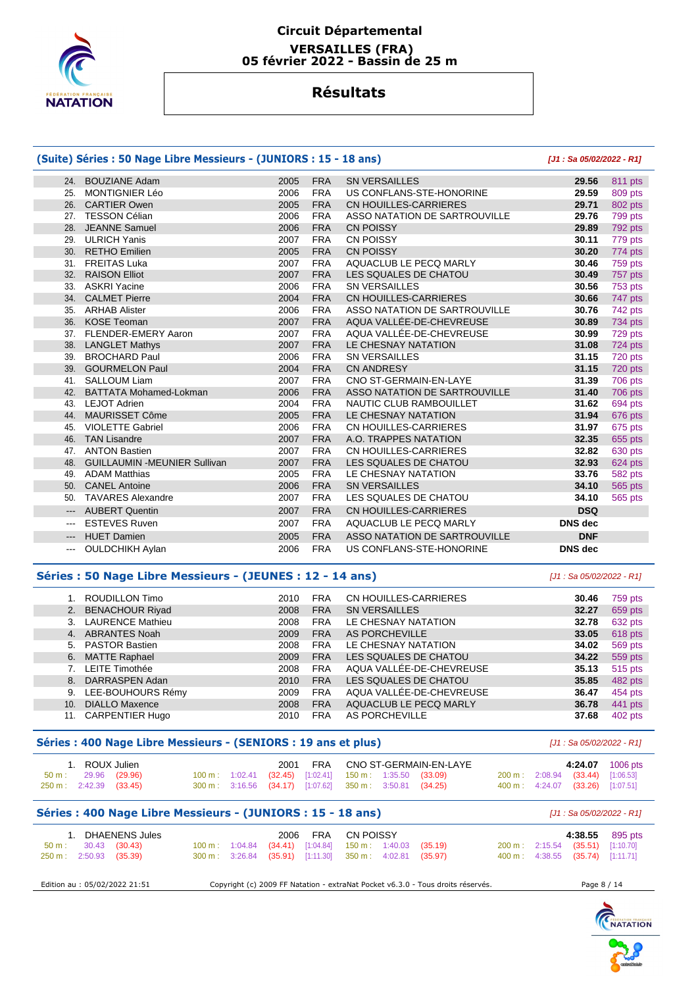

## **Circuit Départemental VERSAILLES (FRA) 05 février 2022 - Bassin de 25 m**

# **Résultats**

# **(Suite) Séries : 50 Nage Libre Messieurs - (JUNIORS : 15 - 18 ans) [J1 : Sa 05/02/2022 - R1]**

| 24.                    | <b>BOUZIANE Adam</b>                | 2005 | <b>FRA</b> | <b>SN VERSAILLES</b>          | 29.56          | 811 pts |
|------------------------|-------------------------------------|------|------------|-------------------------------|----------------|---------|
| 25.                    | <b>MONTIGNIER Léo</b>               | 2006 | <b>FRA</b> | US CONFLANS-STE-HONORINE      | 29.59          | 809 pts |
|                        | 26. CARTIER Owen                    | 2005 | <b>FRA</b> | CN HOUILLES-CARRIERES         | 29.71          | 802 pts |
| 27.                    | <b>TESSON Célian</b>                | 2006 | <b>FRA</b> | ASSO NATATION DE SARTROUVILLE | 29.76          | 799 pts |
| 28.                    | <b>JEANNE Samuel</b>                | 2006 | <b>FRA</b> | <b>CN POISSY</b>              | 29.89          | 792 pts |
| 29.                    | <b>ULRICH Yanis</b>                 | 2007 | <b>FRA</b> | <b>CN POISSY</b>              | 30.11          | 779 pts |
|                        | 30. RETHO Emilien                   | 2005 | <b>FRA</b> | <b>CN POISSY</b>              | 30.20          | 774 pts |
|                        | 31. FREITAS Luka                    | 2007 | <b>FRA</b> | AQUACLUB LE PECQ MARLY        | 30.46          | 759 pts |
| 32.                    | <b>RAISON Elliot</b>                | 2007 | <b>FRA</b> | LES SQUALES DE CHATOU         | 30.49          | 757 pts |
| 33.                    | <b>ASKRI Yacine</b>                 | 2006 | <b>FRA</b> | <b>SN VERSAILLES</b>          | 30.56          | 753 pts |
| 34.                    | <b>CALMET Pierre</b>                | 2004 | <b>FRA</b> | CN HOUILLES-CARRIERES         | 30.66          | 747 pts |
| 35.                    | <b>ARHAB Alister</b>                | 2006 | <b>FRA</b> | ASSO NATATION DE SARTROUVILLE | 30.76          | 742 pts |
| 36.                    | <b>KOSE Teoman</b>                  | 2007 | <b>FRA</b> | AQUA VALLÉE-DE-CHEVREUSE      | 30.89          | 734 pts |
|                        | 37. FLENDER-EMERY Aaron             | 2007 | <b>FRA</b> | AQUA VALLÉE-DE-CHEVREUSE      | 30.99          | 729 pts |
|                        | 38. LANGLET Mathys                  | 2007 | <b>FRA</b> | LE CHESNAY NATATION           | 31.08          | 724 pts |
| 39.                    | <b>BROCHARD Paul</b>                | 2006 | <b>FRA</b> | <b>SN VERSAILLES</b>          | 31.15          | 720 pts |
|                        | 39. GOURMELON Paul                  | 2004 | <b>FRA</b> | <b>CN ANDRESY</b>             | 31.15          | 720 pts |
| 41.                    | <b>SALLOUM Liam</b>                 | 2007 | <b>FRA</b> | CNO ST-GERMAIN-EN-LAYE        | 31.39          | 706 pts |
| 42.                    | <b>BATTATA Mohamed-Lokman</b>       | 2006 | <b>FRA</b> | ASSO NATATION DE SARTROUVILLE | 31.40          | 706 pts |
| 43.                    | <b>LEJOT Adrien</b>                 | 2004 | <b>FRA</b> | NAUTIC CLUB RAMBOUILLET       | 31.62          | 694 pts |
| 44.                    | MAURISSET Côme                      | 2005 | <b>FRA</b> | LE CHESNAY NATATION           | 31.94          | 676 pts |
| 45.                    | <b>VIOLETTE Gabriel</b>             | 2006 | <b>FRA</b> | CN HOUILLES-CARRIERES         | 31.97          | 675 pts |
| 46.                    | <b>TAN Lisandre</b>                 | 2007 | <b>FRA</b> | A.O. TRAPPES NATATION         | 32.35          | 655 pts |
| 47.                    | <b>ANTON Bastien</b>                | 2007 | <b>FRA</b> | CN HOUILLES-CARRIERES         | 32.82          | 630 pts |
| 48.                    | <b>GUILLAUMIN -MEUNIER Sullivan</b> | 2007 | <b>FRA</b> | LES SQUALES DE CHATOU         | 32.93          | 624 pts |
| 49.                    | <b>ADAM Matthias</b>                | 2005 | <b>FRA</b> | LE CHESNAY NATATION           | 33.76          | 582 pts |
| 50.                    | <b>CANEL Antoine</b>                | 2006 | <b>FRA</b> | <b>SN VERSAILLES</b>          | 34.10          | 565 pts |
| 50.                    | <b>TAVARES Alexandre</b>            | 2007 | <b>FRA</b> | LES SQUALES DE CHATOU         | 34.10          | 565 pts |
| $\qquad \qquad - -$    | <b>AUBERT Quentin</b>               | 2007 | <b>FRA</b> | CN HOUILLES-CARRIERES         | <b>DSQ</b>     |         |
| $\qquad \qquad \cdots$ | <b>ESTEVES Ruven</b>                | 2007 | <b>FRA</b> | AQUACLUB LE PECQ MARLY        | <b>DNS</b> dec |         |
| $\qquad \qquad - -$    | <b>HUET Damien</b>                  | 2005 | <b>FRA</b> | ASSO NATATION DE SARTROUVILLE | <b>DNF</b>     |         |
| $\cdots$               | <b>OULDCHIKH Aylan</b>              | 2006 | <b>FRA</b> | US CONFLANS-STE-HONORINE      | <b>DNS</b> dec |         |

#### **Séries : 50 Nage Libre Messieurs - (JEUNES : 12 - 14 ans)** [J1 : Sa 05/02/2022 - R1]

 1. ROUDILLON Timo 2010 FRA CN HOUILLES-CARRIERES **30.46** 759 pts 2. BENACHOUR Riyad 2008 FRA SN VERSAILLES **32.27** 659 pts 3. LAURENCE Mathieu 2008 FRA LE CHESNAY NATATION **32.78** 632 pts 4. ABRANTES Noah 2009 FRA AS PORCHEVILLE **33.05** 618 pts 2008 FRA LE CHESNAY NATATION **34.02**  6. MATTE Raphael 2009 FRA LES SQUALES DE CHATOU **34.22** 559 pts 7. LEITE Timothée 2008 FRA AQUA VALLÉE-DE-CHEVREUSE **35.13** 515 pts 8. DARRASPEN Adan 2010 FRA LES SQUALES DE CHATOU **35.85** 482 pts 9. LEE-BOUHOURS Rémy 2009 FRA AQUA VALLÉE-DE-CHEVREUSE **36.47** 454 pts 10. DIALLO Maxence 2008 FRA AQUACLUB LE PECQ MARLY **36.78** 441 pts 11. CARPENTIER Hugo 2010 FRA AS PORCHEVILLE **37.68** 402 pts

#### **Séries : 400 Nage Libre Messieurs - (SENIORS : 19 ans et plus)** [J1 : Sa 05/02/2022 - R1]

|                         | 1. ROUX Julien       |  |  |                                                                       | 2001 FRA CNO ST-GERMAIN-EN-LAYE |  |                                  | 4:24.07 1006 pts |
|-------------------------|----------------------|--|--|-----------------------------------------------------------------------|---------------------------------|--|----------------------------------|------------------|
|                         | 50 m : 29.96 (29.96) |  |  | $100 \text{ m}$ : $1:02.41$ (32.45) [1:02.41] 150 m : 1:35.50 (33.09) |                                 |  | 200 m: 2:08.94 (33.44) [1:06.53] |                  |
| 250 m : 2:42.39 (33.45) |                      |  |  | 300 m : 3:16.56 (34.17) [1:07.62] 350 m : 3:50.81 (34.25)             |                                 |  | 400 m: 4:24.07 (33.26) [1:07.51] |                  |

## **Séries : 400 Nage Libre Messieurs - (JUNIORS : 15 - 18 ans)** [J1 : Sa 05/02/2022 - R1]

|                         | 1. DHAENENS Jules    |  | 2006 FRA CN POISSY                                        |  |  |                                  | 4:38.55 895 pts |
|-------------------------|----------------------|--|-----------------------------------------------------------|--|--|----------------------------------|-----------------|
|                         | 50 m : 30.43 (30.43) |  | 100 m : 1:04.84 (34.41) [1:04.84] 150 m : 1:40.03 (35.19) |  |  | 200 m: 2:15.54 (35.51) [1:10.70] |                 |
| 250 m : 2:50.93 (35.39) |                      |  | 300 m: 3:26.84 (35.91) [1:11.30] 350 m: 4:02.81 (35.97)   |  |  | 400 m: 4:38.55 (35.74) [1:11.71] |                 |

| Edition au : 05/02/2022 21:51<br>Copyright (c) 2009 FF Natation - extraNat Pocket v6.3.0 - Tous droits réservés.<br>Page 8, |
|-----------------------------------------------------------------------------------------------------------------------------|
|-----------------------------------------------------------------------------------------------------------------------------|

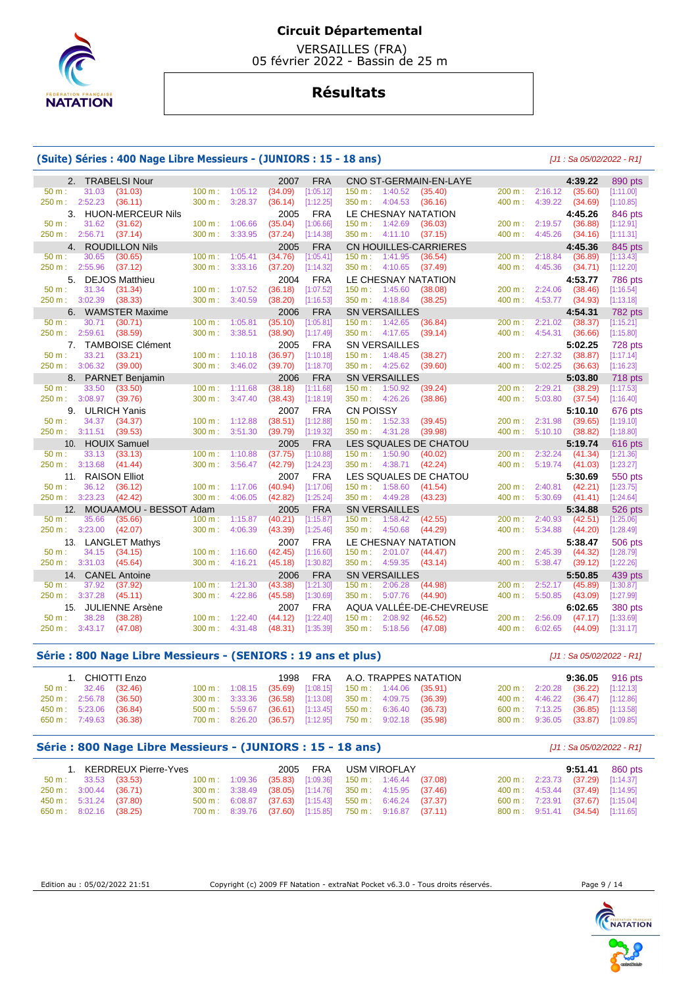

 VERSAILLES (FRA) 05 février 2022 - Bassin de 25 m

# **Résultats**

#### **(Suite) Séries : 400 Nage Libre Messieurs - (JUNIORS : 15 - 18 ans)** [J1 : Sa 05/02/2022 - R1]

| $100 m$ : 1:05.12<br>200 m: 2:16.12 (35.60)<br>50 m:<br>31.03<br>(31.03)<br>(34.09)<br>[1:05.12]<br>$150 \text{ m}: 1:40.52$<br>(35.40)<br>250 m: 2:52.23 (36.11)<br>4:39.22<br>$300 \text{ m}$ :<br>3:28.37<br>(36.14)<br>[1:12.25]<br>350 m : 4:04.53<br>(36.16)<br>400 m:<br>(34.69)<br>3.<br><b>HUON-MERCEUR Nils</b><br><b>FRA</b><br>LE CHESNAY NATATION<br>2005<br>4:45.26<br>31.62<br>$100 \text{ m}$ : 1:06.66<br>(35.04)<br>[1:06.66]<br>150 m: 1:42.69<br>200 m:<br>2:19.57<br>(36.88)<br>50 m:<br>(31.62)<br>(36.03)<br>250 m:<br>2:56.71<br>(37.14)<br>300 m:<br>3:33.95<br>(37.24)<br>$350 \text{ m}: 4:11.10$ (37.15)<br>400 m:<br>4:45.26<br>[1:14.38]<br>(34.16)<br>4. ROUDILLON Nils<br>2005<br><b>FRA</b><br><b>CN HOUILLES-CARRIERES</b><br>4:45.36<br>[1:05.41]<br>30.65<br>(30.65)<br>1:05.41<br>(34.76)<br>150 m: 1:41.95<br>(36.54)<br>2:18.84<br>(36.89)<br>$50 m$ :<br>100 m:<br>$200 \text{ m}$ : | [1:11.00]<br>[1:10.85]<br>846 pts<br>[1:12.91]<br>[1:11.31]<br>845 pts<br>[1:13.43]<br>[1:12.20]<br><b>786 pts</b><br>[1:16.54] |
|------------------------------------------------------------------------------------------------------------------------------------------------------------------------------------------------------------------------------------------------------------------------------------------------------------------------------------------------------------------------------------------------------------------------------------------------------------------------------------------------------------------------------------------------------------------------------------------------------------------------------------------------------------------------------------------------------------------------------------------------------------------------------------------------------------------------------------------------------------------------------------------------------------------------------|---------------------------------------------------------------------------------------------------------------------------------|
|                                                                                                                                                                                                                                                                                                                                                                                                                                                                                                                                                                                                                                                                                                                                                                                                                                                                                                                              |                                                                                                                                 |
|                                                                                                                                                                                                                                                                                                                                                                                                                                                                                                                                                                                                                                                                                                                                                                                                                                                                                                                              |                                                                                                                                 |
|                                                                                                                                                                                                                                                                                                                                                                                                                                                                                                                                                                                                                                                                                                                                                                                                                                                                                                                              |                                                                                                                                 |
|                                                                                                                                                                                                                                                                                                                                                                                                                                                                                                                                                                                                                                                                                                                                                                                                                                                                                                                              |                                                                                                                                 |
|                                                                                                                                                                                                                                                                                                                                                                                                                                                                                                                                                                                                                                                                                                                                                                                                                                                                                                                              |                                                                                                                                 |
|                                                                                                                                                                                                                                                                                                                                                                                                                                                                                                                                                                                                                                                                                                                                                                                                                                                                                                                              |                                                                                                                                 |
|                                                                                                                                                                                                                                                                                                                                                                                                                                                                                                                                                                                                                                                                                                                                                                                                                                                                                                                              |                                                                                                                                 |
| 3:33.16<br>250 m: 2:55.96<br>(37.12)<br>300 m:<br>(37.20)<br>[1:14.32]<br>350 m: 4:10.65<br>(37.49)<br>400 m:<br>4:45.36<br>(34.71)                                                                                                                                                                                                                                                                                                                                                                                                                                                                                                                                                                                                                                                                                                                                                                                          |                                                                                                                                 |
| <b>DEJOS Matthieu</b><br>2004<br><b>FRA</b><br>LE CHESNAY NATATION<br>4:53.77<br>5.                                                                                                                                                                                                                                                                                                                                                                                                                                                                                                                                                                                                                                                                                                                                                                                                                                          |                                                                                                                                 |
| 31.34<br>[1:07.52]<br>2:24.06<br>$50 m$ :<br>(31.34)<br>100 m: 1:07.52<br>(36.18)<br>$150 \text{ m}: 1:45.60$<br>(38.08)<br>200 m:<br>(38.46)                                                                                                                                                                                                                                                                                                                                                                                                                                                                                                                                                                                                                                                                                                                                                                                |                                                                                                                                 |
| 250 m: 3:02.39 (38.33)<br>300 m:<br>3:40.59<br>(38.20)<br>[1:16.53]<br>350 m: 4:18.84 (38.25)<br>400 m:<br>4:53.77<br>(34.93)                                                                                                                                                                                                                                                                                                                                                                                                                                                                                                                                                                                                                                                                                                                                                                                                | [1:13.18]                                                                                                                       |
| <b>FRA</b><br>6.<br><b>WAMSTER Maxime</b><br>2006<br><b>SN VERSAILLES</b><br>4:54.31                                                                                                                                                                                                                                                                                                                                                                                                                                                                                                                                                                                                                                                                                                                                                                                                                                         | 782 pts                                                                                                                         |
| $100 m$ : 1:05.81<br>(35.10)<br>[1:05.81]<br>(36.84)<br>2:21.02<br>(38.37)<br>50 m:<br>30.71<br>(30.71)<br>$150 \text{ m}: 1:42.65$<br>$200 \text{ m}$ :                                                                                                                                                                                                                                                                                                                                                                                                                                                                                                                                                                                                                                                                                                                                                                     | [1:15.21]                                                                                                                       |
| 250 m: 2:59.61<br>(38.59)<br>$300 \text{ m}$ :<br>3:38.51<br>(38.90)<br>350 m: 4:17.65<br>(39.14)<br>400 m:<br>4:54.31<br>[1:17.49]<br>(36.66)                                                                                                                                                                                                                                                                                                                                                                                                                                                                                                                                                                                                                                                                                                                                                                               | [1:15.80]                                                                                                                       |
| 7. TAMBOISE Clément<br>2005<br><b>FRA</b><br><b>SN VERSAILLES</b><br>5:02.25                                                                                                                                                                                                                                                                                                                                                                                                                                                                                                                                                                                                                                                                                                                                                                                                                                                 | 728 pts                                                                                                                         |
| (36.97)<br>(38.27)<br>2:27.32<br>(38.87)<br>$50 m$ :<br>33.21<br>(33.21)<br>100 m:<br>1:10.18<br>[1:10.18]<br>$150 \text{ m}: 1:48.45$<br>200 m:                                                                                                                                                                                                                                                                                                                                                                                                                                                                                                                                                                                                                                                                                                                                                                             | [1:17.14]                                                                                                                       |
| 250 m: 3:06.32 (39.00)<br>$300 \text{ m}$ :<br>3:46.02<br>(39.70)<br>[1:18.70]<br>350 m: 4:25.62<br>(39.60)<br>400 m:<br>5:02.25<br>(36.63)                                                                                                                                                                                                                                                                                                                                                                                                                                                                                                                                                                                                                                                                                                                                                                                  | [1:16.23]                                                                                                                       |
| 2006<br><b>FRA</b><br><b>SN VERSAILLES</b><br>8. PARNET Benjamin<br>5:03.80                                                                                                                                                                                                                                                                                                                                                                                                                                                                                                                                                                                                                                                                                                                                                                                                                                                  | 718 pts                                                                                                                         |
| 50 m:<br>33.50<br>(33.50)<br>$100 \text{ m}$ :<br>1:11.68<br>(38.18)<br>[1:11.68]<br>150 m: 1:50.92<br>(39.24)<br>200 m:<br>2:29.21<br>(38.29)                                                                                                                                                                                                                                                                                                                                                                                                                                                                                                                                                                                                                                                                                                                                                                               | [1:17.53]                                                                                                                       |
| 3:08.97 (39.76)<br>350 m: 4:26.26<br>(38.86)<br>400 m:<br>5:03.80<br>250 m :<br>$300 \text{ m}$ :<br>3:47.40<br>(38.43)<br>[1:18.19]<br>(37.54)                                                                                                                                                                                                                                                                                                                                                                                                                                                                                                                                                                                                                                                                                                                                                                              | [1:16.40]                                                                                                                       |
| <b>ULRICH Yanis</b><br><b>FRA</b><br><b>CN POISSY</b><br>9.<br>2007<br>5:10.10                                                                                                                                                                                                                                                                                                                                                                                                                                                                                                                                                                                                                                                                                                                                                                                                                                               | 676 pts                                                                                                                         |
| 50 m:<br>34.37<br>$100 m$ : 1:12.88<br>(38.51)<br>[1:12.88]<br>150 m: 1:52.33 (39.45)<br>200 m:<br>2:31.98<br>(39.65)<br>(34.37)                                                                                                                                                                                                                                                                                                                                                                                                                                                                                                                                                                                                                                                                                                                                                                                             | [1:19.10]                                                                                                                       |
| 250 m: 3:11.51<br>(39.53)<br>3:51.30<br>350 m: 4:31.28<br>400 m:<br>5:10.10<br>$300 \text{ m}$ :<br>(39.79)<br>[1:19.32]<br>(39.98)<br>(38.82)                                                                                                                                                                                                                                                                                                                                                                                                                                                                                                                                                                                                                                                                                                                                                                               | [1:18.80]                                                                                                                       |
| <b>FRA</b><br>LES SQUALES DE CHATOU<br>10. HOUIX Samuel<br>2005<br>5:19.74                                                                                                                                                                                                                                                                                                                                                                                                                                                                                                                                                                                                                                                                                                                                                                                                                                                   | 616 pts                                                                                                                         |
| 2:32.24<br>33.13<br>(33.13)<br>$100 m$ :<br>1:10.88<br>(37.75)<br>[1:10.88]<br>150 m: 1:50.90<br>200 m:<br>(41.34)<br>50 m:<br>(40.02)                                                                                                                                                                                                                                                                                                                                                                                                                                                                                                                                                                                                                                                                                                                                                                                       | [1:21.36]                                                                                                                       |
| 250 m: 3:13.68<br>3:56.47<br>(41.44)<br>300 m:<br>(42.79)<br>[1:24.23]<br>350 m: 4:38.71<br>(42.24)<br>400 m:<br>5:19.74 (41.03)                                                                                                                                                                                                                                                                                                                                                                                                                                                                                                                                                                                                                                                                                                                                                                                             | [1:23.27]                                                                                                                       |
| 11. RAISON Elliot<br><b>FRA</b><br>2007<br>LES SQUALES DE CHATOU<br>5:30.69                                                                                                                                                                                                                                                                                                                                                                                                                                                                                                                                                                                                                                                                                                                                                                                                                                                  | 550 pts                                                                                                                         |
| 36.12<br>(40.94)<br>[1:17.06]<br>150 m: 1:58.60 (41.54)<br>200 m:<br>2:40.81<br>(42.21)<br>50 m:<br>(36.12)<br>100 m:<br>1:17.06                                                                                                                                                                                                                                                                                                                                                                                                                                                                                                                                                                                                                                                                                                                                                                                             | [1:23.75]                                                                                                                       |
| 250 m: 3:23.23 (42.42)<br>300 m:<br>4:06.05<br>(42.82)<br>[1:25.24]<br>350 m: 4:49.28 (43.23)<br>400 m:<br>5:30.69<br>(41.41)                                                                                                                                                                                                                                                                                                                                                                                                                                                                                                                                                                                                                                                                                                                                                                                                | [1:24.64]                                                                                                                       |
| <b>FRA</b><br>12.<br>MOUAAMOU - BESSOT Adam<br>2005<br><b>SN VERSAILLES</b><br>5:34.88                                                                                                                                                                                                                                                                                                                                                                                                                                                                                                                                                                                                                                                                                                                                                                                                                                       | 526 pts                                                                                                                         |
| 35.66<br>1:15.87<br>(40.21)<br>(42.55)<br>2:40.93<br>50 m:<br>(35.66)<br>$100 m$ :<br>[1:15.87]<br>$150 \text{ m}: 1:58.42$<br>200 m:<br>(42.51)                                                                                                                                                                                                                                                                                                                                                                                                                                                                                                                                                                                                                                                                                                                                                                             | [1:25.06]                                                                                                                       |
| 250 m: 3:23.00<br>(42.07)<br>300 m:<br>4:06.39<br>(43.39)<br>[1:25.46]<br>350 m: 4:50.68<br>(44.29)<br>400 m:<br>5:34.88<br>(44.20)                                                                                                                                                                                                                                                                                                                                                                                                                                                                                                                                                                                                                                                                                                                                                                                          | [1:28.49]                                                                                                                       |
| <b>FRA</b><br>LE CHESNAY NATATION<br>13. LANGLET Mathys<br>2007<br>5:38.47                                                                                                                                                                                                                                                                                                                                                                                                                                                                                                                                                                                                                                                                                                                                                                                                                                                   | 506 pts                                                                                                                         |
| 2:45.39<br>34.15<br>100 m:<br>1:16.60<br>(42.45)<br>[1:16.60]<br>150 m: 2:01.07 (44.47)<br>200 m:<br>(44.32)<br>$50 m$ :<br>(34.15)                                                                                                                                                                                                                                                                                                                                                                                                                                                                                                                                                                                                                                                                                                                                                                                          | [1:28.79]                                                                                                                       |
| 250 m: 3:31.03<br>(45.64)<br>300 m: 4:16.21<br>(45.18)<br>[1:30.82]<br>350 m: 4:59.35<br>(43.14)<br>400 m: 5:38.47 (39.12)                                                                                                                                                                                                                                                                                                                                                                                                                                                                                                                                                                                                                                                                                                                                                                                                   | [1:22.26]                                                                                                                       |
| <b>FRA</b><br><b>SN VERSAILLES</b><br>14. CANEL Antoine<br>2006<br>5:50.85                                                                                                                                                                                                                                                                                                                                                                                                                                                                                                                                                                                                                                                                                                                                                                                                                                                   | 439 pts                                                                                                                         |
| 37.92<br>1:21.30<br>(43.38)<br>[1:21.30]<br>150 m: 2:06.28<br>(44.98)<br>200 m:<br>2:52.17<br>(45.89)<br>50 m:<br>(37.92)<br>$100 \text{ m}$ :                                                                                                                                                                                                                                                                                                                                                                                                                                                                                                                                                                                                                                                                                                                                                                               | [1:30.87]                                                                                                                       |
| 250 m: 3:37.28<br>(45.11)<br>300 m:<br>4:22.86<br>(45.58)<br>[1:30.69]<br>350 m: 5:07.76 (44.90)<br>400 m:<br>5:50.85<br>(43.09)                                                                                                                                                                                                                                                                                                                                                                                                                                                                                                                                                                                                                                                                                                                                                                                             | [1:27.99]                                                                                                                       |
| AQUA VALLÉE-DE-CHEVREUSE<br><b>JULIENNE Arsène</b><br>2007<br><b>FRA</b><br>6:02.65<br>15.                                                                                                                                                                                                                                                                                                                                                                                                                                                                                                                                                                                                                                                                                                                                                                                                                                   | 380 pts                                                                                                                         |
| [1:22.40]<br>2:08.92<br>200 m:<br>2:56.09<br>50 m:<br>38.28<br>(38.28)<br>$100 \text{ m}: 1:22.40$<br>(44.12)<br>150 m :<br>(46.52)<br>(47.17)                                                                                                                                                                                                                                                                                                                                                                                                                                                                                                                                                                                                                                                                                                                                                                               | [1:33.69]                                                                                                                       |
| 400 m:<br>250 m: 3:43.17 (47.08)<br>300 m: 4:31.48<br>(48.31)<br>[1:35.39]<br>$350 \text{ m}: 5:18.56$<br>(47.08)<br>6:02.65<br>(44.09)                                                                                                                                                                                                                                                                                                                                                                                                                                                                                                                                                                                                                                                                                                                                                                                      | [1:31.17]                                                                                                                       |

#### **Série : 800 Nage Libre Messieurs - (SENIORS : 19 ans et plus)** [J1 : Sa 05/02/2022 - R1]

|                         | 1. CHIOTTI Enzo         |  |  |                                                                    | 1998 FRA A.O. TRAPPES NATATION |                                  |                                  | $9:36.05$ 916 pts |
|-------------------------|-------------------------|--|--|--------------------------------------------------------------------|--------------------------------|----------------------------------|----------------------------------|-------------------|
|                         | 50 m : 32.46 (32.46)    |  |  | 100 m: 1:08.15 (35.69) [1:08.15] 150 m: 1:44.06 (35.91)            |                                | 200 m: 2:20.28 (36.22) [1:12.13] |                                  |                   |
|                         | 250 m : 2:56.78 (36.50) |  |  | 300 m : 3:33.36 (36.58) [1:13.08] 350 m : 4:09.75 (36.39)          |                                |                                  | 400 m: 4:46.22 (36.47) [1:12.86] |                   |
|                         | 450 m : 5:23.06 (36.84) |  |  | $500 \text{ m}: 5:59.67$ (36.61) [1:13.45] 550 m : 6:36.40 (36.73) |                                |                                  | 600 m: 7:13.25 (36.85) [1:13.58] |                   |
| 650 m : 7:49.63 (36.38) |                         |  |  | 700 m: 8:26.20 (36.57) [1:12.95] 750 m: 9:02.18 (35.98)            |                                |                                  | 800 m: 9:36.05 (33.87) [1:09.85] |                   |

### **Série : 800 Nage Libre Messieurs - (JUNIORS : 15 - 18 ans)** [J1 : Sa 05/02/2022 - R1]

|                                  | 1. KERDREUX Pierre-Yves |  |  | 2005 FRA USM VIROFLAY                                     |  |  |                                  | 9:51.41 860 pts                   |
|----------------------------------|-------------------------|--|--|-----------------------------------------------------------|--|--|----------------------------------|-----------------------------------|
| $50 \text{ m}: 33.53 (33.53)$    |                         |  |  | 100 m : 1:09.36 (35.83) [1:09.36] 150 m : 1:46.44 (37.08) |  |  |                                  | 200 m : 2:23.73 (37.29) [1:14.37] |
| $250 \text{ m}: 3:00.44$ (36.71) |                         |  |  | 300 m : 3:38.49 (38.05) [1:14.76] 350 m : 4:15.95 (37.46) |  |  | 400 m: 4:53.44 (37.49) [1:14.95] |                                   |
| 450 m : 5:31.24 (37.80)          |                         |  |  | 500 m : 6:08.87 (37.63) [1:15.43] 550 m : 6:46.24 (37.37) |  |  | 600 m: 7:23.91 (37.67) [1:15.04] |                                   |
| $650 \text{ m}: 8:02.16$ (38.25) |                         |  |  | 700 m : 8:39.76 (37.60) [1:15.85] 750 m : 9:16.87 (37.11) |  |  | 800 m: 9:51.41 (34.54) [1:11.65] |                                   |

Edition au : 05/02/2022 21:51 Copyright (c) 2009 FF Natation - extraNat Pocket v6.3.0 - Tous droits réservés. Page 9 / 14



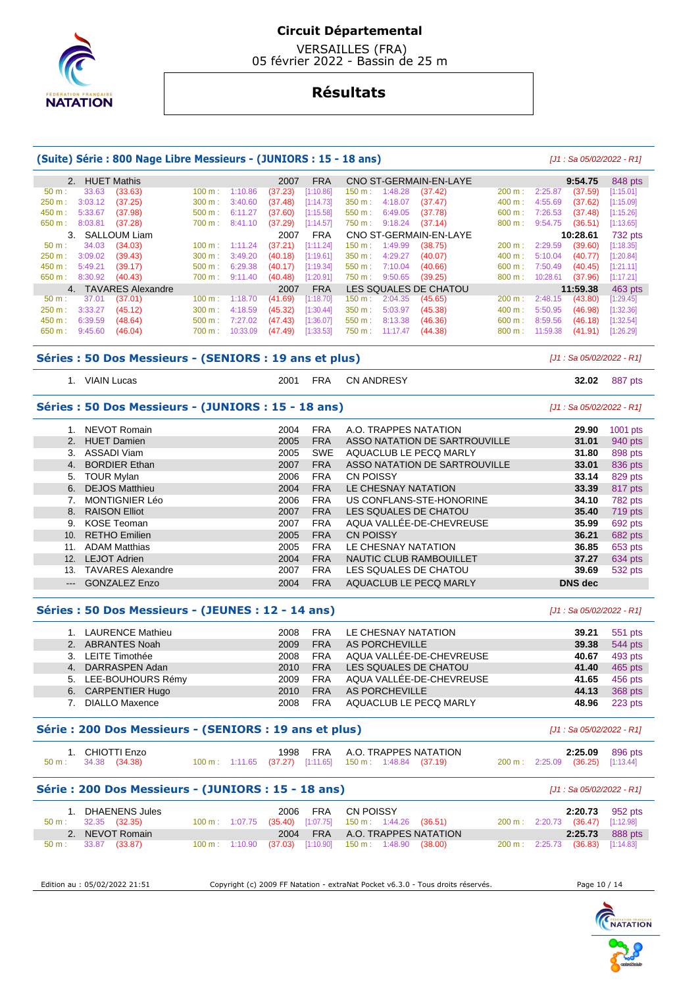

 VERSAILLES (FRA) 05 février 2022 - Bassin de 25 m

# **Résultats**

## **(Suite) Série : 800 Nage Libre Messieurs - (JUNIORS : 15 - 18 ans)** [J1 : Sa 05/02/2022 - R1]

| 2. HUET Mathis       |                      |           |          | 2007    | <b>FRA</b> |           |          | CNO ST-GERMAIN-EN-LAYE |                   |          | 9:54.75  | 848 pts   |
|----------------------|----------------------|-----------|----------|---------|------------|-----------|----------|------------------------|-------------------|----------|----------|-----------|
| 33.63<br>$50 m$ :    | (33.63)              | 100 m:    | 1:10.86  | (37.23) | [1:10.86]  | 150 m : . | 1:48.28  | (37.42)                | 200 m:            | 2:25.87  | (37.59)  | [1:15.01] |
| 3:03.12<br>250 m:    | (37.25)              | 300 m:    | 3:40.60  | (37.48) | [1:14.73]  | 350 m:    | 4:18.07  | (37.47)                | 400 m:            | 4:55.69  | (37.62)  | [1:15.09] |
|                      |                      |           |          |         |            |           |          |                        |                   |          |          |           |
| 5:33.67<br>450 m:    | (37.98)              | 500 m:    | 6:11.27  | (37.60) | [1:15.58]  | $550 m$ : | 6:49.05  | (37.78)                | 600 m:            | 7:26.53  | (37.48)  | [1:15.26] |
| 650 m:<br>8:03.81    | (37.28)              | 700 m:    | 8:41.10  | (37.29) | [1:14.57]  | 750 m :   | 9:18.24  | (37.14)                | $800 \text{ m}$ : | 9:54.75  | (36.51)  | [1:13.65] |
| 3. SALLOUM Liam      |                      |           |          | 2007    | <b>FRA</b> |           |          | CNO ST-GERMAIN-EN-LAYE |                   |          | 10:28.61 | 732 pts   |
| 34.03<br>50 m:       | (34.03)              | 100 m:    | 1:11.24  | (37.21) | [1:11.24]  | 150 m :   | 1:49.99  | (38.75)                | 200 m:            | 2:29.59  | (39.60)  | [1:18.35] |
| 3:09.02<br>250 m:    | (39.43)              | 300 m:    | 3:49.20  | (40.18) | [1:19.61]  | 350 m:    | 4:29.27  | (40.07)                | 400 m:            | 5:10.04  | (40.77)  | [1:20.84] |
| 450 m:<br>5:49.21    | (39.17)              | 500 m:    | 6:29.38  | (40.17) | [1:19.34]  | 550 m:    | 7:10.04  | (40.66)                | 600 m:            | 7:50.49  | (40.45)  | [1:21.11] |
| 8:30.92<br>650 m:    | (40.43)              | 700 m : . | 9:11.40  | (40.48) | [1:20.91]  | 750 m :   | 9:50.65  | (39.25)                | 800 m:            | 10:28.61 | (37.96)  | [1:17.21] |
|                      | 4. TAVARES Alexandre |           |          | 2007    | <b>FRA</b> |           |          | LES SQUALES DE CHATOU  |                   |          | 11:59.38 | 463 pts   |
| 37.01<br>$50 m$ :    | (37.01)              | 100 m:    | 1:18.70  | (41.69) | [1:18.70]  | 150 m :   | 2:04.35  | (45.65)                | 200 m:            | 2:48.15  | (43.80)  | [1:29.45] |
| 3:33.27<br>$250 m$ : | (45.12)              | 300 m:    | 4:18.59  | (45.32) | [1:30.44]  | $350 m$ : | 5:03.97  | (45.38)                | 400 m:            | 5:50.95  | (46.98)  | [1:32.36] |
| 450 m:<br>6:39.59    | (48.64)              | 500 m:    | 7:27.02  | (47.43) | [1:36.07]  | 550 m:    | 8:13.38  | (46.36)                | 600 m:            | 8:59.56  | (46.18)  | [1:32.54] |
| 9:45.60<br>650 m:    | (46.04)              | 700 m :   | 10:33.09 | (47.49) | [1:33.53]  | 750 m:    | 11:17.47 | (44.38)                | 800 m:            | 11:59.38 | (41.91)  | [1:26.29] |

#### **Séries : 50 Dos Messieurs - (SENIORS : 19 ans et plus)** [J1 : Sa 05/02/2022 - R1]

1. VIAIN Lucas 2001 FRA CN ANDRESY **32.02** 887 pts

### **Séries : 50 Dos Messieurs - (JUNIORS : 15 - 18 ans)** [J1 : Sa 05/02/2022 - R1]

|                     | NEVOT Romain             | 2004 | <b>FRA</b> | A.O. TRAPPES NATATION         | 29.90          | 1001 pts |
|---------------------|--------------------------|------|------------|-------------------------------|----------------|----------|
|                     | <b>HUET Damien</b>       | 2005 | <b>FRA</b> | ASSO NATATION DE SARTROUVILLE |                |          |
|                     |                          |      |            |                               | 31.01          | 940 pts  |
| 3.                  | ASSADI Viam              | 2005 | <b>SWE</b> | AQUACLUB LE PECQ MARLY        | 31.80          | 898 pts  |
| 4.                  | <b>BORDIER Ethan</b>     | 2007 | <b>FRA</b> | ASSO NATATION DE SARTROUVILLE | 33.01          | 836 pts  |
|                     | 5. TOUR Mylan            | 2006 | <b>FRA</b> | <b>CN POISSY</b>              | 33.14          | 829 pts  |
|                     | 6. DEJOS Matthieu        | 2004 | <b>FRA</b> | LE CHESNAY NATATION           | 33.39          | 817 pts  |
|                     | <b>MONTIGNIER Léo</b>    | 2006 | <b>FRA</b> | US CONFLANS-STE-HONORINE      | 34.10          | 782 pts  |
|                     | 8. RAISON Elliot         | 2007 | <b>FRA</b> | LES SQUALES DE CHATOU         | 35.40          | 719 pts  |
| 9.                  | KOSE Teoman              | 2007 | <b>FRA</b> | AQUA VALLÉE-DE-CHEVREUSE      | 35.99          | 692 pts  |
|                     | 10. RETHO Emilien        | 2005 | <b>FRA</b> | <b>CN POISSY</b>              | 36.21          | 682 pts  |
| 11.                 | <b>ADAM Matthias</b>     | 2005 | <b>FRA</b> | LE CHESNAY NATATION           | 36.85          | 653 pts  |
| 12.                 | <b>LEJOT Adrien</b>      | 2004 | <b>FRA</b> | NAUTIC CLUB RAMBOUILLET       | 37.27          | 634 pts  |
| 13.                 | <b>TAVARES Alexandre</b> | 2007 | <b>FRA</b> | LES SQUALES DE CHATOU         | 39.69          | 532 pts  |
| $\qquad \qquad - -$ | <b>GONZALEZ Enzo</b>     | 2004 | <b>FRA</b> | AQUACLUB LE PECQ MARLY        | <b>DNS</b> dec |          |

#### **Séries : 50 Dos Messieurs - (JEUNES : 12 - 14 ans)** [J1 : Sa 05/02/2022 - R1]

| 1. LAURENCE Mathieu  | 2008 | FRA        | LE CHESNAY NATATION      | 39.21 | 551 pts |
|----------------------|------|------------|--------------------------|-------|---------|
| 2. ABRANTES Noah     | 2009 | <b>FRA</b> | AS PORCHEVILLE           | 39.38 | 544 pts |
| 3. LEITE Timothée    | 2008 | <b>FRA</b> | AQUA VALLÉE-DE-CHEVREUSE | 40.67 | 493 pts |
| 4. DARRASPEN Adan    | 2010 | <b>FRA</b> | LES SQUALES DE CHATOU    | 41.40 | 465 pts |
| 5. LEE-BOUHOURS Rémy | 2009 | <b>FRA</b> | AQUA VALLÉE-DE-CHEVREUSE | 41.65 | 456 pts |
| 6. CARPENTIER Hugo   | 2010 | <b>FRA</b> | AS PORCHEVILLE           | 44.13 | 368 pts |
| 7. DIALLO Maxence    | 2008 | <b>FRA</b> | AQUACLUB LE PECQ MARLY   | 48.96 | 223 pts |

#### **Série : 200 Dos Messieurs - (SENIORS : 19 ans et plus)** [J1 : Sa 05/02/2022 - R1]

|                      | 1. CHIOTTI Enzo |  |                                                         |  | 1998 FRA A.O. TRAPPES NATATION |                                  | 2:25.09 896 pts |
|----------------------|-----------------|--|---------------------------------------------------------|--|--------------------------------|----------------------------------|-----------------|
| 50 m : 34.38 (34.38) |                 |  | 100 m: 1:11.65 (37.27) [1:11.65] 150 m: 1:48.84 (37.19) |  |                                | 200 m: 2:25.09 (36.25) [1:13.44] |                 |

# **Série : 200 Dos Messieurs - (JUNIORS : 15 - 18 ans)** [J1 : Sa 05/02/2022 - R1]

| 1. DHAENENS Jules             |  |  | 2006 FRA CN POISSY                                                        |  |                                  | $2:20.73$ 952 pts |
|-------------------------------|--|--|---------------------------------------------------------------------------|--|----------------------------------|-------------------|
| $50 \text{ m}: 32.35 (32.35)$ |  |  | 100 m : 1:07.75 (35.40) [1:07.75] 150 m : 1:44.26 (36.51)                 |  | 200 m: 2:20.73 (36.47) [1:12.98] |                   |
| 2. NEVOT Romain               |  |  | 2004 FRA A.O. TRAPPES NATATION                                            |  |                                  | 2:25.73 888 pts   |
| $50 \text{ m}: 33.87 (33.87)$ |  |  | $100 \text{ m}$ : $1:10.90$ (37.03) $[1:10.90]$ 150 m : $1:48.90$ (38.00) |  | 200 m: 2:25.73 (36.83) [1:14.83] |                   |

| Edition au : 05/02/2022 21:51 |
|-------------------------------|
|-------------------------------|

Edition au : 05/02/2022 21:51 Copyright (c) 2009 FF Natation - extraNat Pocket v6.3.0 - Tous droits réservés. Page 10 / 14

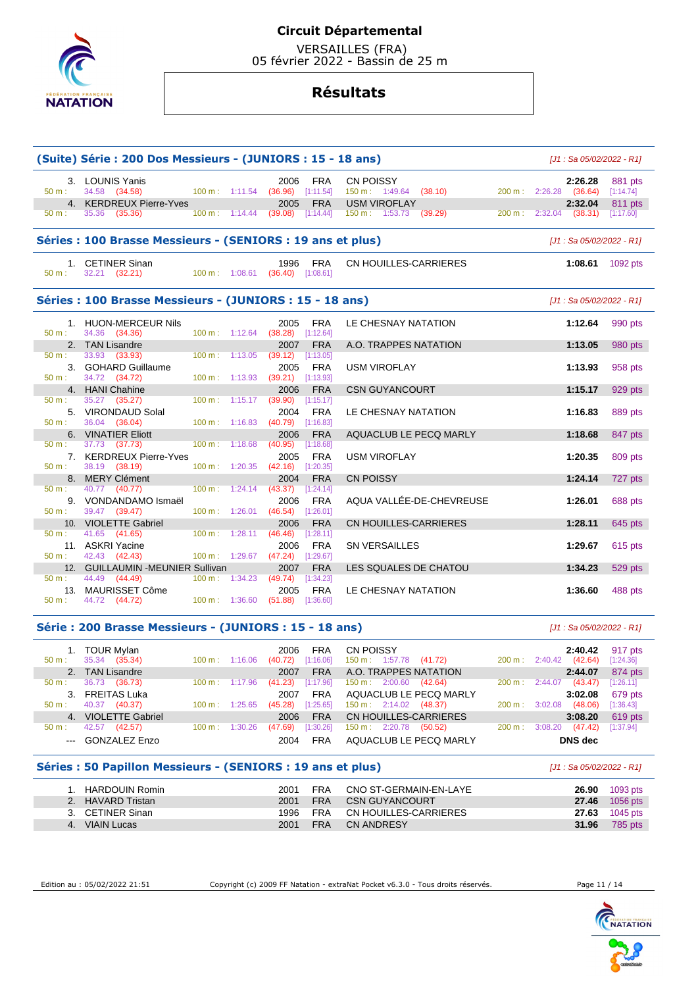

 VERSAILLES (FRA) 05 février 2022 - Bassin de 25 m

# **Résultats**

|                  | (Suite) Série : 200 Dos Messieurs - (JUNIORS : 15 - 18 ans) |                          |                                          |                         |                                            | [J1 : Sa 05/02/2022 - R1]         |                      |
|------------------|-------------------------------------------------------------|--------------------------|------------------------------------------|-------------------------|--------------------------------------------|-----------------------------------|----------------------|
| 50 m:            | 3. LOUNIS Yanis<br>34.58 (34.58)                            |                          | 2006<br>100 m: 1:11.54 (36.96) [1:11.54] | <b>FRA</b>              | <b>CN POISSY</b><br>150 m: 1:49.64 (38.10) | 2:26.28<br>200 m: 2:26.28 (36.64) | 881 pts<br>[1:14.74] |
|                  | 4. KERDREUX Pierre-Yves                                     |                          | 2005                                     | <b>FRA</b>              | <b>USM VIROFLAY</b>                        | 2:32.04                           | 811 pts              |
| 50 m:            | 35.36 (35.36)<br>$100 \text{ m}: 1:14.44$                   |                          | (39.08)                                  | [1:14.44]               | 150 m : 1:53.73 (39.29)                    | 200 m: 2:32.04 (38.31)            | [1:17.60]            |
|                  | Séries : 100 Brasse Messieurs - (SENIORS : 19 ans et plus)  |                          |                                          |                         |                                            | [J1 : Sa 05/02/2022 - R1]         |                      |
| 50 m:            | 1. CETINER Sinan<br>32.21 (32.21)                           |                          | 1996<br>100 m: 1:08.61 (36.40) [1:08.61] | <b>FRA</b>              | CN HOUILLES-CARRIERES                      | 1:08.61 1092 pts                  |                      |
|                  | Séries : 100 Brasse Messieurs - (JUNIORS : 15 - 18 ans)     |                          |                                          |                         |                                            | [J1 : Sa 05/02/2022 - R1]         |                      |
|                  | 1. HUON-MERCEUR Nils                                        |                          | 2005                                     | <b>FRA</b>              | LE CHESNAY NATATION                        | 1:12.64                           | 990 pts              |
| 50 m:            | 34.36 (34.36)                                               |                          | 100 m: 1:12.64 (38.28) [1:12.64]         |                         |                                            |                                   |                      |
|                  | 2. TAN Lisandre                                             |                          | 2007                                     | <b>FRA</b>              | A.O. TRAPPES NATATION                      | 1:13.05                           | 980 pts              |
| 50 m:            | 33.93 (33.93)                                               | 100 m: 1:13.05           | (39.12)                                  | [1:13.05]               |                                            |                                   |                      |
|                  | 3. GOHARD Guillaume                                         |                          | 2005                                     | <b>FRA</b>              | <b>USM VIROFLAY</b>                        | 1:13.93                           | 958 pts              |
| $50 \text{ m}$ : | 34.72 (34.72)                                               | 100 m: 1:13.93           | $(39.21)$ [1:13.93]                      |                         |                                            |                                   |                      |
|                  | 4. HANI Chahine                                             |                          | 2006                                     | <b>FRA</b>              | <b>CSN GUYANCOURT</b>                      | 1:15.17                           | 929 pts              |
| 50 m:            | 35.27 (35.27)                                               | $100 \text{ m}: 1:15.17$ | $(39.90)$ [1:15.17]                      |                         |                                            |                                   |                      |
| 50 m:            | 5. VIRONDAUD Solal<br>36.04 (36.04)                         |                          | 2004<br>100 m: 1:16.83 (40.79) [1:16.83] | <b>FRA</b>              | LE CHESNAY NATATION                        | 1:16.83                           | 889 pts              |
|                  |                                                             |                          |                                          |                         |                                            |                                   |                      |
| 50 m:            | 6. VINATIER Eliott<br>37.73 (37.73)                         | 100 m: 1:18.68           | 2006<br>(40.95)                          | <b>FRA</b><br>[1:18.68] | AQUACLUB LE PECQ MARLY                     | 1:18.68                           | 847 pts              |
|                  |                                                             |                          |                                          |                         |                                            |                                   |                      |
| $50 m$ :         | 7. KERDREUX Pierre-Yves<br>38.19 (38.19)                    |                          | 2005<br>100 m: 1:20.35 (42.16) [1:20.35] | <b>FRA</b>              | <b>USM VIROFLAY</b>                        | 1:20.35                           | 809 pts              |
|                  |                                                             |                          |                                          |                         |                                            |                                   |                      |
| 50 m:            | 8. MERY Clément<br>40.77 (40.77)                            |                          | 2004<br>100 m: 1:24.14 (43.37) [1:24.14] | <b>FRA</b>              | <b>CN POISSY</b>                           | 1:24.14                           | 727 pts              |
|                  | 9. VONDANDAMO Ismaël                                        |                          | 2006                                     | <b>FRA</b>              | AQUA VALLÉE-DE-CHEVREUSE                   | 1:26.01                           |                      |
| 50 m:            | 39.47 (39.47)                                               | 100 m: 1:26.01           | $(46.54)$ [1:26.01]                      |                         |                                            |                                   | 688 pts              |
|                  |                                                             |                          |                                          |                         |                                            |                                   |                      |
| 50 m:            | 10. VIOLETTE Gabriel<br>41.65 (41.65)                       | $100 \text{ m}: 1:28.11$ | 2006<br>(46.46)                          | <b>FRA</b><br>[1:28.11] | <b>CN HOUILLES-CARRIERES</b>               | 1:28.11                           | 645 pts              |
|                  | 11. ASKRI Yacine                                            |                          |                                          |                         |                                            |                                   |                      |
| 50 m:            | 42.43 (42.43)                                               |                          | 2006<br>100 m: 1:29.67 (47.24) [1:29.67] | <b>FRA</b>              | <b>SN VERSAILLES</b>                       | 1:29.67                           | 615 pts              |
|                  | 12. GUILLAUMIN - MEUNIER Sullivan                           |                          | 2007                                     | <b>FRA</b>              | LES SQUALES DE CHATOU                      | 1:34.23                           |                      |
| $50 \text{ m}$ : | 44.49 (44.49)                                               | $100 m$ : 1:34.23        | (49.74)                                  | [1:34.23]               |                                            |                                   | 529 pts              |
|                  | 13. MAURISSET Côme                                          |                          | 2005                                     | <b>FRA</b>              | LE CHESNAY NATATION                        | 1:36.60                           |                      |
| 50 m:            | 44.72 (44.72)                                               |                          | 100 m: 1:36.60 (51.88) [1:36.60]         |                         |                                            |                                   | 488 pts              |

#### **Série : 200 Brasse Messieurs - (JUNIORS : 15 - 18 ans)** [J1 : Sa 05/02/2022 - R1]

| 1. TOUR Mylan<br>(35.34)<br>35.34<br>$50 m$ : | $100 \text{ m}$ :<br>1:16.06 | <b>FRA</b><br>2006<br>[1:16.06]<br>(40.72) | CN POISSY<br>150 m: 1:57.78<br>(41.72) | 2:40.42<br>(42.64)<br>2:40.42<br>$200 \text{ m}$ : | 917 pts<br>[1:24.36] |
|-----------------------------------------------|------------------------------|--------------------------------------------|----------------------------------------|----------------------------------------------------|----------------------|
| 2. TAN Lisandre                               |                              | <b>FRA</b><br>2007                         | A.O. TRAPPES NATATION                  | 2:44.07                                            | 874 pts              |
| 36.73<br>(36.73)<br>$50 \text{ m}$ :          | $100 \text{ m}$ :<br>1:17.96 | [1:17.96]<br>(41.23)                       | $150 \text{ m}: 2:00.60$<br>(42.64)    | (43.47)<br>$200 \text{ m}$ :<br>2:44.07            | [1:26.11]            |
| 3. FREITAS Luka                               |                              | <b>FRA</b><br>2007                         | AQUACLUB LE PECQ MARLY                 | 3:02.08                                            | 679 pts              |
| 40.37<br>(40.37)<br>$50 m$ :                  | $100 \text{ m}$ :<br>1:25.65 | [1:25.65]<br>(45.28)                       | 150 m: 2:14.02<br>(48.37)              | (48.06)<br>200 m:<br>3:02.08                       | [1:36.43]            |
| 4. VIOLETTE Gabriel                           |                              | <b>FRA</b><br>2006                         | CN HOUILLES-CARRIERES                  | 3:08.20                                            | 619 pts              |
| 42.57<br>(42.57)<br>$50 m$ :                  | 1:30.26<br>$100 \text{ m}$ : | [1:30.26]<br>(47.69)                       | 150 m: 2:20.78<br>(50.52)              | (47.42)<br>3:08.20<br>200 m:                       | [1:37.94]            |
| --- GONZALEZ Enzo                             |                              | <b>FRA</b><br>2004                         | AQUACLUB LE PECQ MARLY                 | DNS dec                                            |                      |

# **Séries : 50 Papillon Messieurs - (SENIORS : 19 ans et plus)** [J1 : Sa 05/02/2022 - R1]

| 1. HARDOUIN Romin | 2001 | FRA CNO ST-GERMAIN-EN-LAYE     |       | <b>26.90</b> 1093 pts |
|-------------------|------|--------------------------------|-------|-----------------------|
| 2. HAVARD Tristan |      | 2001 FRA CSN GUYANCOURT        |       | <b>27.46</b> 1056 pts |
| 3. CETINER Sinan  |      | 1996 FRA CN HOUILLES-CARRIERES |       | <b>27.63</b> 1045 pts |
| 4. VIAIN Lucas    |      | 2001 FRA CN ANDRESY            | 31.96 | 785 pts               |

Edition au : 05/02/2022 21:51 Copyright (c) 2009 FF Natation - extraNat Pocket v6.3.0 - Tous droits réservés. Page 11 / 14

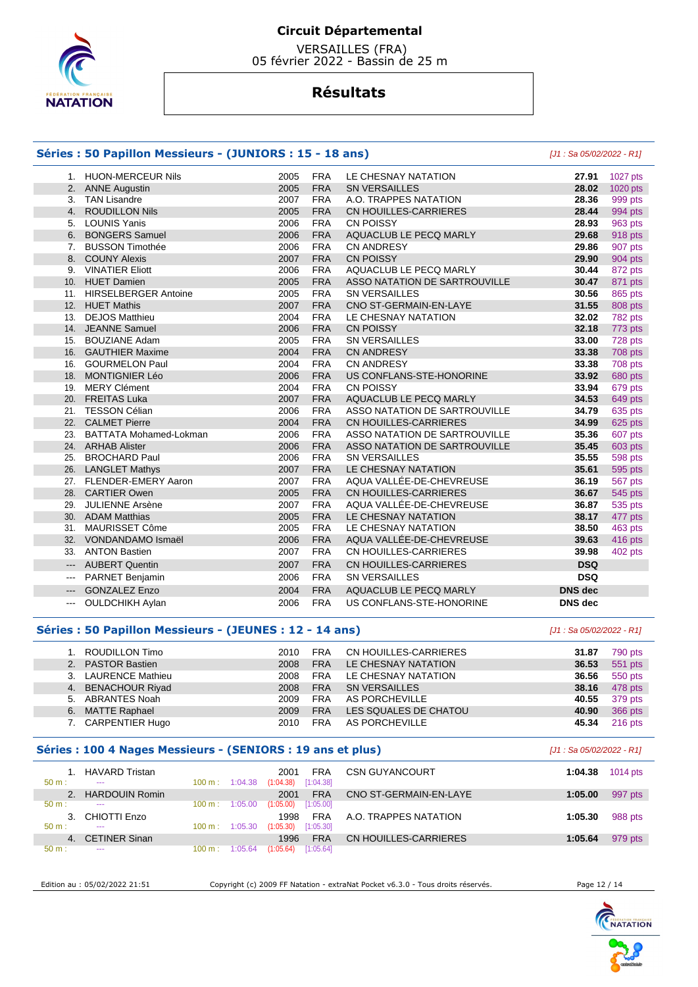

 VERSAILLES (FRA) 05 février 2022 - Bassin de 25 m

# **Résultats**

### **Séries : 50 Papillon Messieurs - (JUNIORS : 15 - 18 ans)** [J1 : Sa 05/02/2022 - R1]

|                         | 1. HUON-MERCEUR Nils          | 2005 | <b>FRA</b> | LE CHESNAY NATATION           | 27.91          | 1027 pts |
|-------------------------|-------------------------------|------|------------|-------------------------------|----------------|----------|
|                         | 2. ANNE Augustin              | 2005 | <b>FRA</b> | <b>SN VERSAILLES</b>          | 28.02          | 1020 pts |
| 3.                      | TAN Lisandre                  | 2007 | <b>FRA</b> | A.O. TRAPPES NATATION         | 28.36          | 999 pts  |
|                         | 4. ROUDILLON Nils             | 2005 | <b>FRA</b> | CN HOUILLES-CARRIERES         | 28.44          | 994 pts  |
|                         | 5. LOUNIS Yanis               | 2006 | <b>FRA</b> | <b>CN POISSY</b>              | 28.93          | 963 pts  |
|                         | 6. BONGERS Samuel             | 2006 | <b>FRA</b> | AQUACLUB LE PECQ MARLY        | 29.68          | 918 pts  |
|                         | 7. BUSSON Timothée            | 2006 | <b>FRA</b> | <b>CN ANDRESY</b>             | 29.86          | 907 pts  |
|                         | 8. COUNY Alexis               | 2007 | <b>FRA</b> | <b>CN POISSY</b>              | 29.90          | 904 pts  |
|                         | 9. VINATIER Eliott            | 2006 | <b>FRA</b> | AQUACLUB LE PECQ MARLY        | 30.44          | 872 pts  |
|                         | 10. HUET Damien               | 2005 | <b>FRA</b> | ASSO NATATION DE SARTROUVILLE | 30.47          | 871 pts  |
|                         | 11. HIRSELBERGER Antoine      | 2005 | <b>FRA</b> | <b>SN VERSAILLES</b>          | 30.56          | 865 pts  |
|                         | 12. HUET Mathis               | 2007 | <b>FRA</b> | CNO ST-GERMAIN-EN-LAYE        | 31.55          | 808 pts  |
| 13.                     | <b>DEJOS Matthieu</b>         | 2004 | <b>FRA</b> | LE CHESNAY NATATION           | 32.02          | 782 pts  |
|                         | 14. JEANNE Samuel             | 2006 | <b>FRA</b> | <b>CN POISSY</b>              | 32.18          | 773 pts  |
| 15.                     | <b>BOUZIANE Adam</b>          | 2005 | <b>FRA</b> | <b>SN VERSAILLES</b>          | 33.00          | 728 pts  |
|                         | 16. GAUTHIER Maxime           | 2004 | <b>FRA</b> | <b>CN ANDRESY</b>             | 33.38          | 708 pts  |
| 16.                     | <b>GOURMELON Paul</b>         | 2004 | <b>FRA</b> | <b>CN ANDRESY</b>             | 33.38          | 708 pts  |
|                         | 18. MONTIGNIER Léo            | 2006 | <b>FRA</b> | US CONFLANS-STE-HONORINE      | 33.92          | 680 pts  |
| 19.                     | <b>MERY Clément</b>           | 2004 | <b>FRA</b> | <b>CN POISSY</b>              | 33.94          | 679 pts  |
|                         | 20. FREITAS Luka              | 2007 | <b>FRA</b> | AQUACLUB LE PECQ MARLY        | 34.53          | 649 pts  |
| 21.                     | TESSON Célian                 | 2006 | <b>FRA</b> | ASSO NATATION DE SARTROUVILLE | 34.79          | 635 pts  |
|                         | 22. CALMET Pierre             | 2004 | <b>FRA</b> | CN HOUILLES-CARRIERES         | 34.99          | 625 pts  |
| 23.                     | <b>BATTATA Mohamed-Lokman</b> | 2006 | <b>FRA</b> | ASSO NATATION DE SARTROUVILLE | 35.36          | 607 pts  |
|                         | 24. ARHAB Alister             | 2006 | <b>FRA</b> | ASSO NATATION DE SARTROUVILLE | 35.45          | 603 pts  |
| 25.                     | <b>BROCHARD Paul</b>          | 2006 | <b>FRA</b> | <b>SN VERSAILLES</b>          | 35.55          | 598 pts  |
|                         | 26. LANGLET Mathys            | 2007 | <b>FRA</b> | LE CHESNAY NATATION           | 35.61          | 595 pts  |
|                         | 27. FLENDER-EMERY Aaron       | 2007 | <b>FRA</b> | AQUA VALLÉE-DE-CHEVREUSE      | 36.19          | 567 pts  |
|                         | 28. CARTIER Owen              | 2005 | <b>FRA</b> | CN HOUILLES-CARRIERES         | 36.67          | 545 pts  |
| 29.                     | <b>JULIENNE Arsène</b>        | 2007 | <b>FRA</b> | AQUA VALLÉE-DE-CHEVREUSE      | 36.87          | 535 pts  |
|                         | 30. ADAM Matthias             | 2005 | <b>FRA</b> | LE CHESNAY NATATION           | 38.17          | 477 pts  |
|                         | 31. MAURISSET Côme            | 2005 | <b>FRA</b> | LE CHESNAY NATATION           | 38.50          | 463 pts  |
|                         | 32. VONDANDAMO Ismaël         | 2006 | <b>FRA</b> | AQUA VALLÉE-DE-CHEVREUSE      | 39.63          | 416 pts  |
| 33.                     | <b>ANTON Bastien</b>          | 2007 | <b>FRA</b> | CN HOUILLES-CARRIERES         | 39.98          | 402 pts  |
| $\qquad \qquad - -$     | <b>AUBERT Quentin</b>         | 2007 | <b>FRA</b> | CN HOUILLES-CARRIERES         | <b>DSQ</b>     |          |
| ---                     | PARNET Benjamin               | 2006 | <b>FRA</b> | <b>SN VERSAILLES</b>          | <b>DSQ</b>     |          |
| $\qquad \qquad -\qquad$ | <b>GONZALEZ Enzo</b>          | 2004 | <b>FRA</b> | AQUACLUB LE PECQ MARLY        | <b>DNS</b> dec |          |
| $---$                   | <b>OULDCHIKH Aylan</b>        | 2006 | <b>FRA</b> | US CONFLANS-STE-HONORINE      | <b>DNS</b> dec |          |
|                         |                               |      |            |                               |                |          |

### **Séries : 50 Papillon Messieurs - (JEUNES : 12 - 14 ans)** [J1 : Sa 05/02/2022 - R1]

| 1. ROUDILLON Timo   | 2010 | <b>FRA</b> | CN HOUILLES-CARRIERES | 31.87 | 790 pts   |
|---------------------|------|------------|-----------------------|-------|-----------|
| 2. PASTOR Bastien   | 2008 | <b>FRA</b> | LE CHESNAY NATATION   | 36.53 | 551 pts   |
| 3. LAURENCE Mathieu | 2008 | <b>FRA</b> | LE CHESNAY NATATION   | 36.56 | 550 pts   |
| 4. BENACHOUR Riyad  | 2008 | <b>FRA</b> | <b>SN VERSAILLES</b>  | 38.16 | 478 pts   |
| 5. ABRANTES Noah    | 2009 | <b>FRA</b> | AS PORCHEVILLE        | 40.55 | 379 pts   |
| 6. MATTE Raphael    | 2009 | <b>FRA</b> | LES SQUALES DE CHATOU | 40.90 | 366 pts   |
| 7. CARPENTIER Hugo  | 2010 | <b>FRA</b> | AS PORCHEVILLE        | 45.34 | $216$ pts |

### **Séries : 100 4 Nages Messieurs - (SENIORS : 19 ans et plus)** [J1 : Sa 05/02/2022 - R1]

| $50 m$ : | <b>HAVARD Tristan</b><br>$- - -$ | 100 m:            | 1:04.38 | FRA<br>2001<br>[1:04.38]<br>(1:04.38) | <b>CSN GUYANCOURT</b>  | 1:04.38 | 1014 pts |
|----------|----------------------------------|-------------------|---------|---------------------------------------|------------------------|---------|----------|
|          | <b>HARDOUIN Romin</b>            |                   |         | <b>FRA</b><br>2001                    | CNO ST-GERMAIN-EN-LAYE | 1:05.00 | 997 pts  |
| $50 m$ : | $- - -$                          | 100 m:            | 1:05.00 | [1:05.00]<br>(1:05.00)                |                        |         |          |
|          | CHIOTTI Enzo                     |                   |         | <b>FRA</b><br>1998                    | A.O. TRAPPES NATATION  | 1:05.30 | 988 pts  |
| $50 m$ : | $- - -$                          | $100 \text{ m}$ : | 1:05.30 | [1:05.30]<br>(1:05.30)                |                        |         |          |
| 4.       | <b>CETINER Sinan</b>             |                   |         | <b>FRA</b><br>1996                    | CN HOUILLES-CARRIERES  | 1:05.64 | 979 pts  |
| $50 m$ : | $- - -$                          | 100 m:            | 1:05.64 | [1:05.64]<br>(1:05.64)                |                        |         |          |

Edition au : 05/02/2022 21:51 Copyright (c) 2009 FF Natation - extraNat Pocket v6.3.0 - Tous droits réservés. Page 12 / 14

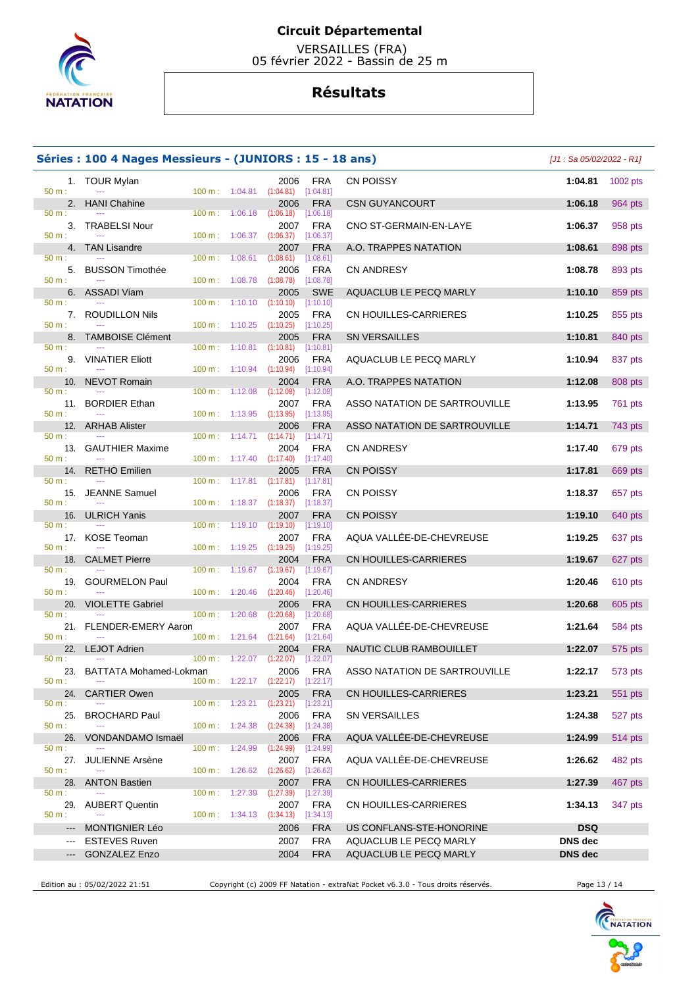

 VERSAILLES (FRA) 05 février 2022 - Bassin de 25 m

# **Résultats**

|                                                                                                                                                                                                                                                                                                                                                                                                                                                                            | Séries : 100 4 Nages Messieurs - (JUNIORS : 15 - 18 ans) |                          |                          |                                                             |                           |                               | $[J1: Sa 05/02/2022 - R1]$ |          |
|----------------------------------------------------------------------------------------------------------------------------------------------------------------------------------------------------------------------------------------------------------------------------------------------------------------------------------------------------------------------------------------------------------------------------------------------------------------------------|----------------------------------------------------------|--------------------------|--------------------------|-------------------------------------------------------------|---------------------------|-------------------------------|----------------------------|----------|
| 50 m:                                                                                                                                                                                                                                                                                                                                                                                                                                                                      | 1. TOUR Mylan                                            |                          |                          | 2006<br>100 m: 1:04.81 (1:04.81) [1:04.81]                  | FRA                       | CN POISSY                     | 1:04.81                    | 1002 pts |
| 50 m:                                                                                                                                                                                                                                                                                                                                                                                                                                                                      | 2. HANI Chahine                                          | $100 \text{ m}$ :        | 1:06.18                  | 2006<br>(1:06.18)                                           | <b>FRA</b><br>[1:06.18]   | <b>CSN GUYANCOURT</b>         | 1:06.18                    | 964 pts  |
| 50 m:                                                                                                                                                                                                                                                                                                                                                                                                                                                                      | 3. TRABELSI Nour                                         |                          | $100 \text{ m}: 1:06.37$ | 2007<br>$(1:06.37)$ $[1:06.37]$                             | <b>FRA</b>                | CNO ST-GERMAIN-EN-LAYE        | 1:06.37                    | 958 pts  |
|                                                                                                                                                                                                                                                                                                                                                                                                                                                                            | 4. TAN Lisandre                                          |                          |                          | 2007                                                        | <b>FRA</b>                | A.O. TRAPPES NATATION         | 1:08.61                    | 898 pts  |
| 50 m:                                                                                                                                                                                                                                                                                                                                                                                                                                                                      | 5. BUSSON Timothée                                       | 100 m: 1:08.61           |                          | (1:08.61)<br>2006                                           | [1:08.61]<br><b>FRA</b>   | <b>CN ANDRESY</b>             | 1:08.78                    | 893 pts  |
| 50 m:                                                                                                                                                                                                                                                                                                                                                                                                                                                                      | 6. ASSADI Viam                                           | 100 m: 1:08.78           |                          | (1:08.78)<br>2005                                           | [1:08.78]<br><b>SWE</b>   | AQUACLUB LE PECQ MARLY        | 1:10.10                    | 859 pts  |
| 50 m:                                                                                                                                                                                                                                                                                                                                                                                                                                                                      | 7. ROUDILLON Nils                                        |                          |                          | $100 \text{ m}: 1:10.10 (1:10.10)$<br>2005                  | [1:10.10]<br>FRA          | CN HOUILLES-CARRIERES         | 1:10.25                    | 855 pts  |
| 50 m:                                                                                                                                                                                                                                                                                                                                                                                                                                                                      | 8. TAMBOISE Clément                                      |                          |                          | $100 \text{ m}: 1:10.25 (1:10.25)$<br>2005                  | $[1:10.25]$<br><b>FRA</b> | <b>SN VERSAILLES</b>          | 1:10.81                    | 840 pts  |
| 50 m:                                                                                                                                                                                                                                                                                                                                                                                                                                                                      | 9. VINATIER Eliott                                       |                          |                          | $100 \text{ m}: 1:10.81$ $(1:10.81)$ $[1:10.81]$<br>2006    | FRA                       | AQUACLUB LE PECQ MARLY        | 1:10.94                    | 837 pts  |
| 50 m:                                                                                                                                                                                                                                                                                                                                                                                                                                                                      | 10. NEVOT Romain                                         |                          |                          | 100 m: 1:10.94 (1:10.94) [1:10.94]<br>2004                  | <b>FRA</b>                | A.O. TRAPPES NATATION         | 1:12.08                    | 808 pts  |
| 50 m:                                                                                                                                                                                                                                                                                                                                                                                                                                                                      |                                                          | 100 m: 1:12.08           |                          | (1:12.08)                                                   | [1:12.08]                 |                               |                            |          |
| 50 m:                                                                                                                                                                                                                                                                                                                                                                                                                                                                      | 11. BORDIER Ethan                                        | 100 m: 1:13.95           |                          | 2007<br>(1:13.95)                                           | <b>FRA</b><br>[1:13.95]   | ASSO NATATION DE SARTROUVILLE | 1:13.95                    | 761 pts  |
| 50 m:                                                                                                                                                                                                                                                                                                                                                                                                                                                                      | 12. ARHAB Alister                                        |                          |                          | 2006<br>$100 \text{ m}: 1:14.71 (1:14.71)$                  | <b>FRA</b><br>[1:14.71]   | ASSO NATATION DE SARTROUVILLE | 1:14.71                    | 743 pts  |
| 50 m:                                                                                                                                                                                                                                                                                                                                                                                                                                                                      | 13. GAUTHIER Maxime                                      |                          |                          | 2004<br>$100 \text{ m}: 1:17.40$ $(1:17.40)$ $[1:17.40]$    | <b>FRA</b>                | <b>CN ANDRESY</b>             | 1:17.40                    | 679 pts  |
| 50 m:                                                                                                                                                                                                                                                                                                                                                                                                                                                                      | 14. RETHO Emilien                                        |                          |                          | 2005<br>$100 \text{ m}: 1:17.81$ $(1:17.81)$ $[1:17.81]$    | <b>FRA</b>                | <b>CN POISSY</b>              | 1:17.81                    | 669 pts  |
| 50 m:                                                                                                                                                                                                                                                                                                                                                                                                                                                                      | 15. JEANNE Samuel                                        |                          |                          | 2006<br>100 m : 1:18.37 (1:18.37) [1:18.37]                 | FRA                       | CN POISSY                     | 1:18.37                    | 657 pts  |
| 50 m:                                                                                                                                                                                                                                                                                                                                                                                                                                                                      | 16. ULRICH Yanis                                         | $100 \text{ m}: 1:19.10$ |                          | 2007<br>(1:19.10)                                           | <b>FRA</b><br>[1:19.10]   | <b>CN POISSY</b>              | 1:19.10                    | 640 pts  |
| 50 m:                                                                                                                                                                                                                                                                                                                                                                                                                                                                      | 17. KOSE Teoman<br>$\sim$ $\sim$                         | 100 m: 1:19.25           |                          | 2007<br>(1:19.25)                                           | <b>FRA</b><br>[1:19.25]   | AQUA VALLÉE-DE-CHEVREUSE      | 1:19.25                    | 637 pts  |
| 18.<br>50 m:                                                                                                                                                                                                                                                                                                                                                                                                                                                               | <b>CALMET Pierre</b>                                     |                          |                          | 2004<br>$100 \text{ m}: 1:19.67$ $(1:19.67)$                | <b>FRA</b><br>[1:19.67]   | CN HOUILLES-CARRIERES         | 1:19.67                    | 627 pts  |
| 50 m:                                                                                                                                                                                                                                                                                                                                                                                                                                                                      | 19. GOURMELON Paul                                       |                          |                          | 2004<br>$100 \text{ m}$ : $1:20.46$ $(1:20.46)$ $[1:20.46]$ | FRA                       | <b>CN ANDRESY</b>             | 1:20.46                    | 610 pts  |
| 20.<br>50 m:                                                                                                                                                                                                                                                                                                                                                                                                                                                               | <b>VIOLETTE Gabriel</b>                                  | $100 \text{ m}$ :        | 1:20.68                  | 2006<br>(1:20.68)                                           | <b>FRA</b><br>$[1:20.68]$ | CN HOUILLES-CARRIERES         | 1:20.68                    | 605 pts  |
|                                                                                                                                                                                                                                                                                                                                                                                                                                                                            | 21. FLENDER-EMERY Aaron                                  |                          |                          | 2007                                                        | <b>FRA</b>                | AQUA VALLÉE-DE-CHEVREUSE      | 1:21.64                    | 584 pts  |
| 50 m:                                                                                                                                                                                                                                                                                                                                                                                                                                                                      | 22. LEJOT Adrien                                         |                          |                          | 100 m: 1:21.64 (1:21.64) [1:21.64]<br>2004                  | <b>FRA</b>                | NAUTIC CLUB RAMBOUILLET       | 1:22.07                    | 575 pts  |
| 50 m:                                                                                                                                                                                                                                                                                                                                                                                                                                                                      | 23. BATTATA Mohamed-Lokman                               | 100 m: 1:22.07           |                          | (1:22.07)<br>2006                                           | [1:22.07]<br><b>FRA</b>   | ASSO NATATION DE SARTROUVILLE | 1:22.17                    | 573 pts  |
| 50 m:<br>24.                                                                                                                                                                                                                                                                                                                                                                                                                                                               | $\scriptstyle\cdots$<br><b>CARTIER Owen</b>              |                          |                          | $100 \text{ m}: 1:22.17$ $(1:22.17)$ $[1:22.17]$<br>2005    | <b>FRA</b>                | CN HOUILLES-CARRIERES         | 1:23.21                    | 551 pts  |
| 50 m:<br>25.                                                                                                                                                                                                                                                                                                                                                                                                                                                               | <b>BROCHARD Paul</b>                                     | 100 m: 1:23.21           |                          | $(1:23.21)$ $[1:23.21]$<br>2006                             | <b>FRA</b>                | SN VERSAILLES                 | 1:24.38                    | 527 pts  |
| 50 m:<br>26.                                                                                                                                                                                                                                                                                                                                                                                                                                                               | <b>VONDANDAMO Ismaël</b>                                 | $100 \text{ m}: 1:24.38$ |                          | (1:24.38)<br>2006                                           | [1:24.38]<br><b>FRA</b>   | AQUA VALLÉE-DE-CHEVREUSE      | 1:24.99                    | 514 pts  |
| 50 m:<br>27.                                                                                                                                                                                                                                                                                                                                                                                                                                                               | <b>JULIENNE Arsène</b>                                   | $100 \text{ m}$ :        | 1:24.99                  | (1:24.99)<br>2007                                           | [1:24.99]<br>FRA          | AQUA VALLÉE-DE-CHEVREUSE      | 1:26.62                    | 482 pts  |
| 50 m:<br>28.                                                                                                                                                                                                                                                                                                                                                                                                                                                               | <b>ANTON Bastien</b>                                     | 100 m: 1:26.62           |                          | $(1:26.62)$ $[1:26.62]$<br>2007                             | <b>FRA</b>                | CN HOUILLES-CARRIERES         | 1:27.39                    | 467 pts  |
| 50 m:<br>29.                                                                                                                                                                                                                                                                                                                                                                                                                                                               | <b>AUBERT Quentin</b>                                    | $100 \text{ m}: 1:27.39$ |                          | (1:27.39)<br>2007                                           | [1:27.39]<br><b>FRA</b>   | CN HOUILLES-CARRIERES         | 1:34.13                    | 347 pts  |
| 50 m:<br>$---$                                                                                                                                                                                                                                                                                                                                                                                                                                                             | <b>MONTIGNIER Léo</b>                                    | 100 m: 1:34.13           |                          | (1:34.13)<br>2006                                           | [1:34.13]<br><b>FRA</b>   | US CONFLANS-STE-HONORINE      | <b>DSQ</b>                 |          |
| ---                                                                                                                                                                                                                                                                                                                                                                                                                                                                        | <b>ESTEVES Ruven</b>                                     |                          |                          | 2007                                                        | <b>FRA</b>                | AQUACLUB LE PECQ MARLY        | <b>DNS</b> dec             |          |
| $\frac{1}{2} \left( \frac{1}{2} \right) \left( \frac{1}{2} \right) \left( \frac{1}{2} \right) \left( \frac{1}{2} \right) \left( \frac{1}{2} \right) \left( \frac{1}{2} \right) \left( \frac{1}{2} \right) \left( \frac{1}{2} \right) \left( \frac{1}{2} \right) \left( \frac{1}{2} \right) \left( \frac{1}{2} \right) \left( \frac{1}{2} \right) \left( \frac{1}{2} \right) \left( \frac{1}{2} \right) \left( \frac{1}{2} \right) \left( \frac{1}{2} \right) \left( \frac$ | <b>GONZALEZ Enzo</b>                                     |                          |                          | 2004                                                        | <b>FRA</b>                | AQUACLUB LE PECQ MARLY        | <b>DNS</b> dec             |          |

Edition au : 05/02/2022 21:51 Copyright (c) 2009 FF Natation - extraNat Pocket v6.3.0 - Tous droits réservés. Page 13 / 14